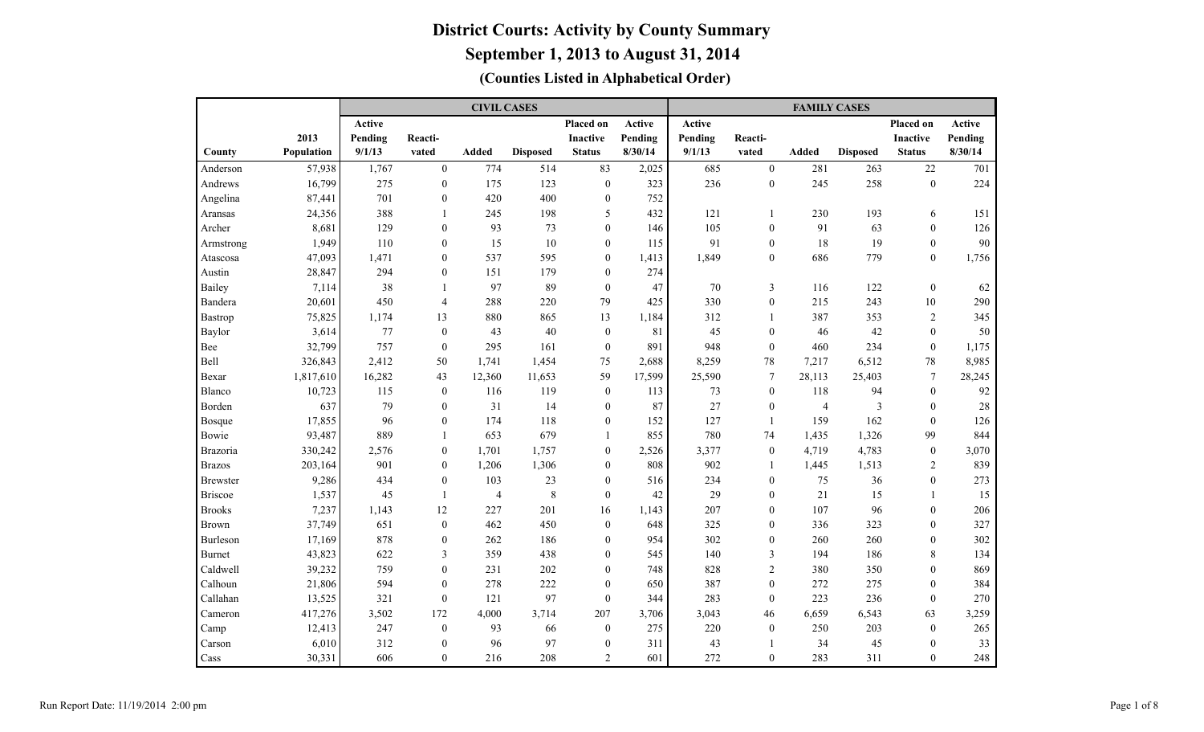|                 |            |         |                  | <b>CIVIL CASES</b> |                 |                  |         |         |                  | <b>FAMILY CASES</b> |                         |                  |         |
|-----------------|------------|---------|------------------|--------------------|-----------------|------------------|---------|---------|------------------|---------------------|-------------------------|------------------|---------|
|                 |            | Active  |                  |                    |                 | Placed on        | Active  | Active  |                  |                     |                         | Placed on        | Active  |
|                 | 2013       | Pending | Reacti-          |                    |                 | <b>Inactive</b>  | Pending | Pending | Reacti-          |                     |                         | <b>Inactive</b>  | Pending |
| County          | Population | 9/1/13  | vated            | <b>Added</b>       | <b>Disposed</b> | <b>Status</b>    | 8/30/14 | 9/1/13  | vated            | <b>Added</b>        | <b>Disposed</b>         | <b>Status</b>    | 8/30/14 |
| Anderson        | 57,938     | 1,767   | $\theta$         | 774                | 514             | 83               | 2,025   | 685     | $\mathbf{0}$     | 281                 | 263                     | 22               | 701     |
| Andrews         | 16,799     | 275     | $\theta$         | 175                | 123             | $\boldsymbol{0}$ | 323     | 236     | $\mathbf{0}$     | 245                 | 258                     | $\boldsymbol{0}$ | 224     |
| Angelina        | 87,441     | 701     | $\boldsymbol{0}$ | 420                | 400             | $\boldsymbol{0}$ | 752     |         |                  |                     |                         |                  |         |
| Aransas         | 24,356     | 388     | $\mathbf{1}$     | 245                | 198             | 5                | 432     | 121     | $\overline{1}$   | 230                 | 193                     | 6                | 151     |
| Archer          | 8,681      | 129     | $\overline{0}$   | 93                 | 73              | 0                | 146     | 105     | $\mathbf{0}$     | 91                  | 63                      | $\mathbf{0}$     | 126     |
| Armstrong       | 1,949      | 110     | $\mathbf{0}$     | 15                 | 10              | $\boldsymbol{0}$ | 115     | 91      | $\mathbf{0}$     | 18                  | 19                      | $\mathbf{0}$     | 90      |
| Atascosa        | 47,093     | 1,471   | $\mathbf{0}$     | 537                | 595             | $\boldsymbol{0}$ | 1,413   | 1,849   | $\mathbf{0}$     | 686                 | 779                     | $\mathbf{0}$     | 1,756   |
| Austin          | 28,847     | 294     | $\mathbf{0}$     | 151                | 179             | 0                | 274     |         |                  |                     |                         |                  |         |
| Bailey          | 7,114      | 38      | 1                | 97                 | 89              | $\boldsymbol{0}$ | 47      | 70      | 3                | 116                 | 122                     | $\mathbf{0}$     | 62      |
| Bandera         | 20,601     | 450     | $\overline{4}$   | 288                | 220             | 79               | 425     | 330     | $\mathbf{0}$     | 215                 | 243                     | 10               | 290     |
| <b>Bastrop</b>  | 75,825     | 1,174   | 13               | 880                | 865             | 13               | 1,184   | 312     | $\mathbf{1}$     | 387                 | 353                     | $\overline{2}$   | 345     |
| Baylor          | 3,614      | 77      | $\mathbf{0}$     | 43                 | 40              | $\boldsymbol{0}$ | 81      | 45      | $\mathbf{0}$     | 46                  | 42                      | $\mathbf{0}$     | 50      |
| Bee             | 32,799     | 757     | $\mathbf{0}$     | 295                | 161             | $\boldsymbol{0}$ | 891     | 948     | $\theta$         | 460                 | 234                     | $\mathbf{0}$     | 1,175   |
| <b>Bell</b>     | 326,843    | 2,412   | 50               | 1,741              | 1,454           | 75               | 2,688   | 8,259   | 78               | 7,217               | 6,512                   | 78               | 8,985   |
| Bexar           | 1,817,610  | 16,282  | 43               | 12,360             | 11,653          | 59               | 17,599  | 25,590  | $\tau$           | 28,113              | 25,403                  | $\tau$           | 28,245  |
| Blanco          | 10,723     | 115     | $\mathbf{0}$     | 116                | 119             | $\boldsymbol{0}$ | 113     | 73      | $\mathbf{0}$     | 118                 | 94                      | $\theta$         | 92      |
| Borden          | 637        | 79      | $\theta$         | 31                 | 14              | $\mathbf{0}$     | 87      | 27      | $\mathbf{0}$     | $\overline{4}$      | $\overline{\mathbf{3}}$ | $\theta$         | $28\,$  |
| <b>Bosque</b>   | 17,855     | 96      | $\theta$         | 174                | 118             | $\boldsymbol{0}$ | 152     | 127     | $\overline{1}$   | 159                 | 162                     | $\theta$         | 126     |
| Bowie           | 93,487     | 889     | $\mathbf{1}$     | 653                | 679             | -1               | 855     | 780     | 74               | 1,435               | 1,326                   | 99               | 844     |
| <b>Brazoria</b> | 330,242    | 2,576   | $\overline{0}$   | 1,701              | 1,757           | $\boldsymbol{0}$ | 2,526   | 3,377   | $\mathbf{0}$     | 4,719               | 4,783                   | $\boldsymbol{0}$ | 3,070   |
| <b>Brazos</b>   | 203,164    | 901     | $\overline{0}$   | 1,206              | 1,306           | $\boldsymbol{0}$ | 808     | 902     | -1               | 1,445               | 1,513                   | 2                | 839     |
| <b>Brewster</b> | 9,286      | 434     | $\mathbf{0}$     | 103                | 23              | 0                | 516     | 234     | $\mathbf{0}$     | 75                  | 36                      | $\mathbf{0}$     | 273     |
| <b>Briscoe</b>  | 1,537      | 45      | $\mathbf{1}$     | $\overline{4}$     | $\,8\,$         | $\boldsymbol{0}$ | 42      | 29      | $\boldsymbol{0}$ | 21                  | 15                      | $\overline{1}$   | 15      |
| <b>Brooks</b>   | 7,237      | 1,143   | 12               | 227                | 201             | 16               | 1,143   | 207     | $\mathbf{0}$     | 107                 | 96                      | $\boldsymbol{0}$ | 206     |
| <b>Brown</b>    | 37,749     | 651     | $\boldsymbol{0}$ | 462                | 450             | $\boldsymbol{0}$ | 648     | 325     | $\boldsymbol{0}$ | 336                 | 323                     | $\boldsymbol{0}$ | 327     |
| Burleson        | 17,169     | 878     | $\boldsymbol{0}$ | 262                | 186             | 0                | 954     | 302     | $\mathbf{0}$     | 260                 | 260                     | $\boldsymbol{0}$ | 302     |
| <b>Burnet</b>   | 43,823     | 622     | 3                | 359                | 438             | 0                | 545     | 140     | 3                | 194                 | 186                     | 8                | 134     |
| Caldwell        | 39,232     | 759     | $\overline{0}$   | 231                | 202             | $\overline{0}$   | 748     | 828     | $\overline{2}$   | 380                 | 350                     | $\mathbf{0}$     | 869     |
| Calhoun         | 21,806     | 594     | $\theta$         | 278                | 222             | $\overline{0}$   | 650     | 387     | $\theta$         | 272                 | 275                     | $\mathbf{0}$     | 384     |
| Callahan        | 13,525     | 321     | $\overline{0}$   | 121                | 97              | $\overline{0}$   | 344     | 283     | $\theta$         | 223                 | 236                     | $\theta$         | 270     |
| Cameron         | 417,276    | 3,502   | 172              | 4,000              | 3,714           | 207              | 3,706   | 3,043   | 46               | 6,659               | 6,543                   | 63               | 3,259   |
| Camp            | 12,413     | 247     | $\overline{0}$   | 93                 | 66              | $\boldsymbol{0}$ | 275     | 220     | $\mathbf{0}$     | 250                 | 203                     | $\mathbf{0}$     | 265     |
| Carson          | 6,010      | 312     | $\theta$         | 96                 | 97              | $\boldsymbol{0}$ | 311     | 43      | $\overline{1}$   | 34                  | 45                      | $\theta$         | 33      |
| Cass            | 30,331     | 606     | $\theta$         | 216                | 208             | $\overline{2}$   | 601     | 272     | $\mathbf{0}$     | 283                 | 311                     | $\Omega$         | 248     |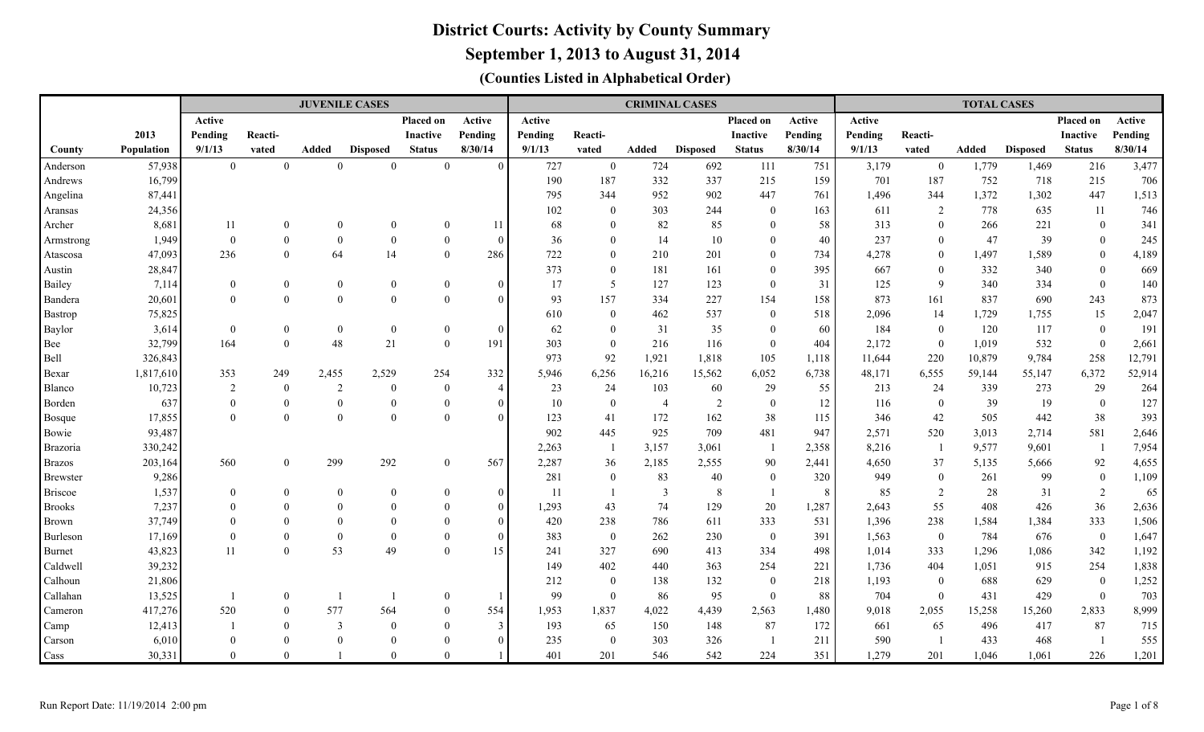**September 1, 2013 to August 31, 2014**

|                 |            |                |                  |                  | <b>JUVENILE CASES</b> |                 |                |         |                  | <b>CRIMINAL CASES</b> |                 |                  |         |         |                  | <b>TOTAL CASES</b> |                 |                  |         |
|-----------------|------------|----------------|------------------|------------------|-----------------------|-----------------|----------------|---------|------------------|-----------------------|-----------------|------------------|---------|---------|------------------|--------------------|-----------------|------------------|---------|
|                 |            | Active         |                  |                  |                       | Placed on       | Active         | Active  |                  |                       |                 | Placed on        | Active  | Active  |                  |                    |                 | Placed on        | Active  |
|                 | 2013       | Pending        | Reacti-          |                  |                       | <b>Inactive</b> | Pending        | Pending | Reacti-          |                       |                 | <b>Inactive</b>  | Pending | Pending | Reacti-          |                    |                 | <b>Inactive</b>  | Pending |
| County          | Population | 9/1/13         | vated            | Added            | <b>Disposed</b>       | <b>Status</b>   | 8/30/14        | 9/1/13  | vated            | Added                 | <b>Disposed</b> | <b>Status</b>    | 8/30/14 | 9/1/13  | vated            | <b>Added</b>       | <b>Disposed</b> | <b>Status</b>    | 8/30/14 |
| Anderson        | 57,938     | $\overline{0}$ | $\overline{0}$   | $\theta$         | $\Omega$              | $\overline{0}$  | $\Omega$       | 727     | $\mathbf{0}$     | 724                   | 692             | 111              | 751     | 3,179   | $\overline{0}$   | 1,779              | 1,469           | 216              | 3,477   |
| Andrews         | 16,799     |                |                  |                  |                       |                 |                | 190     | 187              | 332                   | 337             | 215              | 159     | 701     | 187              | 752                | 718             | 215              | 706     |
| Angelina        | 87,441     |                |                  |                  |                       |                 |                | 795     | 344              | 952                   | 902             | 447              | 761     | 1,496   | 344              | 1,372              | 1,302           | 447              | 1,513   |
| Aransas         | 24,356     |                |                  |                  |                       |                 |                | 102     | $\overline{0}$   | 303                   | 244             | $\overline{0}$   | 163     | 611     | $\overline{2}$   | 778                | 635             | 11               | 746     |
| Archer          | 8,681      | 11             | $\mathbf{0}$     | $\overline{0}$   | $\theta$              | $\theta$        | 11             | 68      | $\overline{0}$   | 82                    | 85              | $\overline{0}$   | 58      | 313     | $\overline{0}$   | 266                | 221             | $\overline{0}$   | 341     |
| Armstrong       | 1,949      | $\theta$       | $\mathbf{0}$     | $\mathbf{0}$     | $\mathbf{0}$          | $\overline{0}$  | $\theta$       | 36      | $\overline{0}$   | 14                    | 10              | $\theta$         | 40      | 237     | $\overline{0}$   | 47                 | 39              | $\mathbf{0}$     | 245     |
| Atascosa        | 47,093     | 236            | $\mathbf{0}$     | 64               | 14                    | $\overline{0}$  | 286            | 722     | $\overline{0}$   | 210                   | 201             | $\overline{0}$   | 734     | 4,278   | $\overline{0}$   | 1,497              | 1,589           | $\mathbf{0}$     | 4,189   |
| Austin          | 28,847     |                |                  |                  |                       |                 |                | 373     | $\overline{0}$   | 181                   | 161             | $\overline{0}$   | 395     | 667     | $\overline{0}$   | 332                | 340             | $\overline{0}$   | 669     |
| Bailey          | 7,114      | $\theta$       | $\boldsymbol{0}$ | $\mathbf{0}$     | $\boldsymbol{0}$      | $\theta$        | $\Omega$       | 17      | 5                | 127                   | 123             | $\theta$         | 31      | 125     | 9                | 340                | 334             | $\overline{0}$   | 140     |
| Bandera         | 20,601     | $\Omega$       | $\mathbf{0}$     | $\mathbf{0}$     | $\mathbf{0}$          | $\overline{0}$  | $\Omega$       | 93      | 157              | 334                   | 227             | 154              | 158     | 873     | 161              | 837                | 690             | 243              | 873     |
| <b>Bastrop</b>  | 75,825     |                |                  |                  |                       |                 |                | 610     | $\boldsymbol{0}$ | 462                   | 537             | $\overline{0}$   | 518     | 2,096   | 14               | 1,729              | 1,755           | 15               | 2,047   |
| Baylor          | 3,614      | $\overline{0}$ | $\boldsymbol{0}$ | $\boldsymbol{0}$ | $\boldsymbol{0}$      | $\mathbf{0}$    | $\Omega$       | 62      | $\overline{0}$   | 31                    | 35              | $\boldsymbol{0}$ | 60      | 184     | $\boldsymbol{0}$ | 120                | 117             | $\mathbf{0}$     | 191     |
| Bee             | 32,799     | 164            | $\boldsymbol{0}$ | 48               | 21                    | $\overline{0}$  | 191            | 303     | $\mathbf{0}$     | 216                   | 116             | $\mathbf{0}$     | 404     | 2,172   | $\boldsymbol{0}$ | 1,019              | 532             | $\boldsymbol{0}$ | 2,661   |
| Bell            | 326,843    |                |                  |                  |                       |                 |                | 973     | 92               | 1,921                 | 1,818           | 105              | 1,118   | 11,644  | 220              | 10,879             | 9,784           | 258              | 12,791  |
| Bexar           | 1,817,610  | 353            | 249              | 2,455            | 2,529                 | 254             | 332            | 5,946   | 6,256            | 16,216                | 15,562          | 6,052            | 6,738   | 48,171  | 6,555            | 59,144             | 55,147          | 6,372            | 52,914  |
| Blanco          | 10,723     | $\overline{2}$ | $\boldsymbol{0}$ | 2                | $\bf{0}$              | $\overline{0}$  | $\overline{4}$ | 23      | 24               | 103                   | 60              | 29               | 55      | 213     | 24               | 339                | 273             | 29               | 264     |
| Borden          | 637        | $\Omega$       | $\mathbf{0}$     | $\mathbf{0}$     | $\Omega$              | $\theta$        | $\theta$       | 10      | $\mathbf{0}$     | $\overline{4}$        | 2               | $\overline{0}$   | 12      | 116     | $\mathbf{0}$     | 39                 | 19              | $\bf{0}$         | 127     |
| <b>Bosque</b>   | 17,855     | $\Omega$       | $\mathbf{0}$     | $\theta$         | $\theta$              | $\overline{0}$  | $\Omega$       | 123     | 41               | 172                   | 162             | 38               | 115     | 346     | 42               | 505                | 442             | 38               | 393     |
| Bowie           | 93,487     |                |                  |                  |                       |                 |                | 902     | 445              | 925                   | 709             | 481              | 947     | 2,571   | 520              | 3,013              | 2,714           | 581              | 2,646   |
| Brazoria        | 330,242    |                |                  |                  |                       |                 |                | 2,263   | $\overline{1}$   | 3,157                 | 3,061           |                  | 2,358   | 8,216   | $\overline{1}$   | 9,577              | 9,601           | - 1              | 7,954   |
| <b>Brazos</b>   | 203,164    | 560            | $\overline{0}$   | 299              | 292                   | $\overline{0}$  | 567            | 2,287   | 36               | 2,185                 | 2,555           | 90               | 2,441   | 4,650   | 37               | 5,135              | 5,666           | 92               | 4,655   |
| <b>Brewster</b> | 9,286      |                |                  |                  |                       |                 |                | 281     | $\bf{0}$         | 83                    | 40              | $\mathbf{0}$     | 320     | 949     | $\boldsymbol{0}$ | 261                | 99              | $\bf{0}$         | 1,109   |
| <b>Briscoe</b>  | 1,537      | $\overline{0}$ | $\boldsymbol{0}$ | $\mathbf{0}$     | $\bf{0}$              | $\overline{0}$  | $\Omega$       | 11      | -1               | $\overline{3}$        | 8               |                  | 8       | 85      | $\overline{2}$   | 28                 | 31              | $\overline{2}$   | 65      |
| <b>Brooks</b>   | 7,237      | $\theta$       | $\mathbf{0}$     | $\theta$         | $\theta$              | $\theta$        | $\theta$       | 1,293   | 43               | 74                    | 129             | $20\,$           | 1,287   | 2,643   | 55               | 408                | 426             | 36               | 2,636   |
| <b>Brown</b>    | 37,749     | $\Omega$       | $\theta$         | $\theta$         | $\Omega$              | $\theta$        | $\overline{0}$ | 420     | 238              | 786                   | 611             | 333              | 531     | 1,396   | 238              | 1,584              | 1,384           | 333              | 1,506   |
| Burleson        | 17,169     | $\Omega$       | $\theta$         | $\theta$         | $\overline{0}$        | $\theta$        | $\overline{0}$ | 383     | $\bf{0}$         | 262                   | 230             | $\mathbf{0}$     | 391     | 1,563   | $\overline{0}$   | 784                | 676             | $\overline{0}$   | 1,647   |
| <b>Burnet</b>   | 43,823     | 11             | $\mathbf{0}$     | 53               | 49                    | $\overline{0}$  | 15             | 241     | 327              | 690                   | 413             | 334              | 498     | 1,014   | 333              | 1,296              | 1,086           | 342              | 1,192   |
| Caldwell        | 39,232     |                |                  |                  |                       |                 |                | 149     | 402              | 440                   | 363             | 254              | 221     | 1,736   | 404              | 1,051              | 915             | 254              | 1,838   |
| Calhoun         | 21,806     |                |                  |                  |                       |                 |                | 212     | $\bf{0}$         | 138                   | 132             | $\mathbf{0}$     | 218     | 1,193   | $\overline{0}$   | 688                | 629             | $\overline{0}$   | 1,252   |
| Callahan        | 13,525     |                | $\mathbf{0}$     |                  |                       | $\overline{0}$  |                | 99      | $\overline{0}$   | 86                    | 95              | $\overline{0}$   | 88      | 704     | $\overline{0}$   | 431                | 429             | $\overline{0}$   | 703     |
| Cameron         | 417,276    | 520            | $\theta$         | 577              | 564                   | $\theta$        | 554            | 1,953   | 1,837            | 4,022                 | 4,439           | 2,563            | 1,480   | 9,018   | 2,055            | 15,258             | 15,260          | 2,833            | 8,999   |
| Camp            | 12,413     |                | $\Omega$         | 3                | $\overline{0}$        | $\Omega$        | $\mathcal{E}$  | 193     | 65               | 150                   | 148             | 87               | 172     | 661     | 65               | 496                | 417             | 87               | 715     |
| Carson          | 6,010      | $\Omega$       | $\Omega$         | $\theta$         | $\Omega$              | $\Omega$        | $\Omega$       | 235     | $\overline{0}$   | 303                   | 326             |                  | 211     | 590     |                  | 433                | 468             |                  | 555     |
| Cass            | 30,331     | $\Omega$       | $\Omega$         |                  | $\Omega$              | $\Omega$        |                | 401     | 201              | 546                   | 542             | 224              | 351     | 1,279   | 201              | 1,046              | 1,061           | 226              | 1,201   |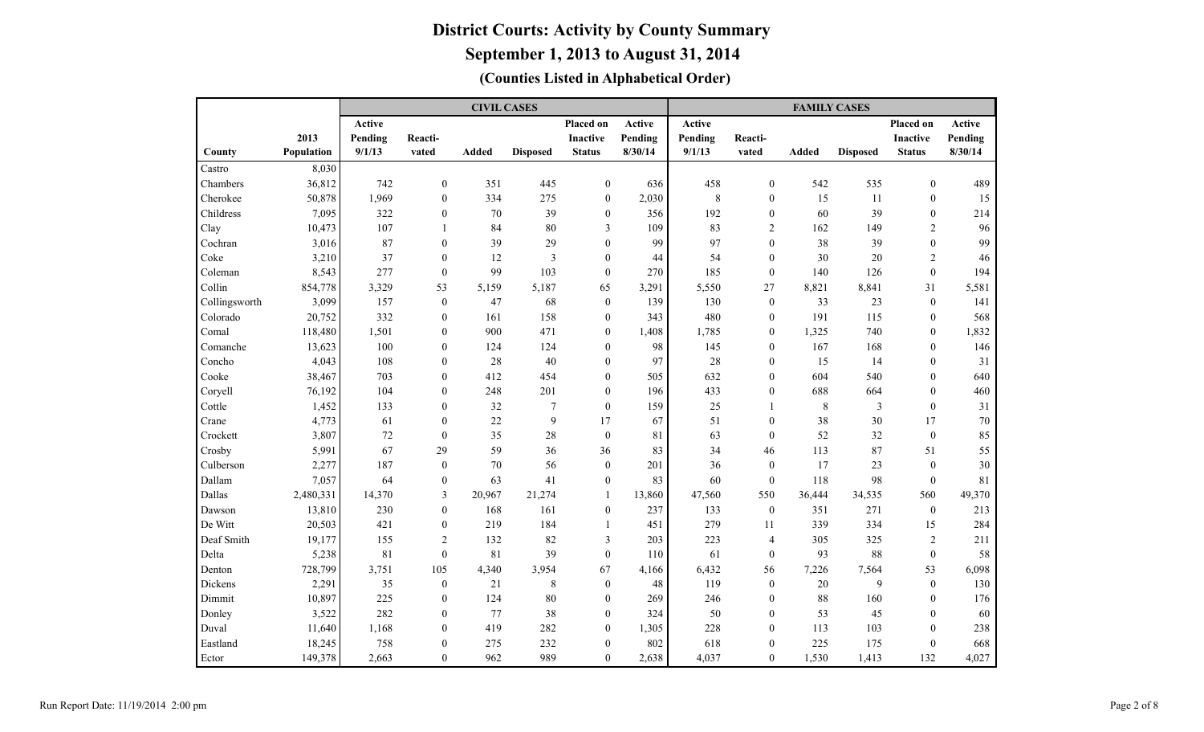|               |            |         |                  | <b>CIVIL CASES</b> |                 |                  |         |         |                  | <b>FAMILY CASES</b> |                 |                  |         |
|---------------|------------|---------|------------------|--------------------|-----------------|------------------|---------|---------|------------------|---------------------|-----------------|------------------|---------|
|               |            | Active  |                  |                    |                 | Placed on        | Active  | Active  |                  |                     |                 | Placed on        | Active  |
|               | 2013       | Pending | Reacti-          |                    |                 | <b>Inactive</b>  | Pending | Pending | Reacti-          |                     |                 | <b>Inactive</b>  | Pending |
| County        | Population | 9/1/13  | vated            | <b>Added</b>       | <b>Disposed</b> | <b>Status</b>    | 8/30/14 | 9/1/13  | vated            | <b>Added</b>        | <b>Disposed</b> | <b>Status</b>    | 8/30/14 |
| Castro        | 8,030      |         |                  |                    |                 |                  |         |         |                  |                     |                 |                  |         |
| Chambers      | 36,812     | 742     | $\overline{0}$   | 351                | 445             | $\boldsymbol{0}$ | 636     | 458     | $\mathbf{0}$     | 542                 | 535             | $\mathbf{0}$     | 489     |
| Cherokee      | 50,878     | 1,969   | $\overline{0}$   | 334                | 275             | $\boldsymbol{0}$ | 2,030   | $\,8\,$ | $\overline{0}$   | 15                  | 11              | $\mathbf{0}$     | 15      |
| Childress     | 7,095      | 322     | $\mathbf{0}$     | 70                 | 39              | $\boldsymbol{0}$ | 356     | 192     | $\overline{0}$   | 60                  | 39              | $\mathbf{0}$     | 214     |
| Clay          | 10,473     | 107     | $\mathbf{1}$     | 84                 | 80              | 3                | 109     | 83      | $\overline{2}$   | 162                 | 149             | $\overline{2}$   | 96      |
| Cochran       | 3,016      | 87      | $\overline{0}$   | 39                 | 29              | $\overline{0}$   | 99      | 97      | $\boldsymbol{0}$ | 38                  | 39              | $\mathbf{0}$     | 99      |
| Coke          | 3,210      | 37      | $\mathbf{0}$     | 12                 | 3               | $\boldsymbol{0}$ | 44      | 54      | $\overline{0}$   | 30                  | 20              | $\overline{2}$   | 46      |
| Coleman       | 8,543      | 277     | $\mathbf{0}$     | 99                 | 103             | $\boldsymbol{0}$ | 270     | 185     | $\boldsymbol{0}$ | 140                 | 126             | $\boldsymbol{0}$ | 194     |
| Collin        | 854,778    | 3,329   | 53               | 5,159              | 5,187           | 65               | 3,291   | 5,550   | 27               | 8,821               | 8,841           | 31               | 5,581   |
| Collingsworth | 3,099      | 157     | $\mathbf{0}$     | 47                 | 68              | $\boldsymbol{0}$ | 139     | 130     | $\mathbf{0}$     | 33                  | 23              | $\boldsymbol{0}$ | 141     |
| Colorado      | 20,752     | 332     | $\overline{0}$   | 161                | 158             | $\boldsymbol{0}$ | 343     | 480     | $\overline{0}$   | 191                 | 115             | $\boldsymbol{0}$ | 568     |
| Comal         | 118,480    | 1,501   | $\overline{0}$   | 900                | 471             | $\mathbf{0}$     | 1,408   | 1,785   | $\overline{0}$   | 1,325               | 740             | $\mathbf{0}$     | 1,832   |
| Comanche      | 13,623     | 100     | $\theta$         | 124                | 124             | $\mathbf{0}$     | 98      | 145     | $\overline{0}$   | 167                 | 168             | $\mathbf{0}$     | 146     |
| Concho        | 4,043      | 108     | $\theta$         | 28                 | 40              | $\mathbf{0}$     | 97      | 28      | $\overline{0}$   | 15                  | 14              | $\mathbf{0}$     | 31      |
| Cooke         | 38,467     | 703     | $\theta$         | 412                | 454             | $\mathbf{0}$     | 505     | 632     | $\overline{0}$   | 604                 | 540             | $\mathbf{0}$     | 640     |
| Coryell       | 76,192     | 104     | $\theta$         | 248                | 201             | $\mathbf{0}$     | 196     | 433     | $\overline{0}$   | 688                 | 664             | $\theta$         | 460     |
| Cottle        | 1,452      | 133     | $\theta$         | 32                 | $\overline{7}$  | $\boldsymbol{0}$ | 159     | 25      | $\mathbf{1}$     | $\,8\,$             | $\overline{3}$  | $\mathbf{0}$     | 31      |
| Crane         | 4,773      | 61      | $\theta$         | 22                 | 9               | 17               | 67      | 51      | $\mathbf{0}$     | 38                  | 30              | 17               | 70      |
| Crockett      | 3,807      | 72      | $\mathbf{0}$     | 35                 | 28              | $\boldsymbol{0}$ | 81      | 63      | $\mathbf{0}$     | 52                  | 32              | $\mathbf{0}$     | 85      |
| Crosby        | 5,991      | 67      | 29               | 59                 | 36              | 36               | 83      | 34      | 46               | 113                 | 87              | 51               | 55      |
| Culberson     | 2,277      | 187     | $\mathbf{0}$     | 70                 | 56              | $\boldsymbol{0}$ | 201     | 36      | $\overline{0}$   | 17                  | 23              | $\mathbf{0}$     | 30      |
| Dallam        | 7,057      | 64      | $\mathbf{0}$     | 63                 | 41              | $\boldsymbol{0}$ | 83      | 60      | $\mathbf{0}$     | 118                 | 98              | $\mathbf{0}$     | 81      |
| Dallas        | 2,480,331  | 14,370  | 3                | 20,967             | 21,274          | -1               | 13,860  | 47,560  | 550              | 36,444              | 34,535          | 560              | 49,370  |
| Dawson        | 13,810     | 230     | $\mathbf{0}$     | 168                | 161             | $\boldsymbol{0}$ | 237     | 133     | $\mathbf{0}$     | 351                 | 271             | $\boldsymbol{0}$ | 213     |
| De Witt       | 20,503     | 421     | $\boldsymbol{0}$ | 219                | 184             | $\mathbf{1}$     | 451     | 279     | 11               | 339                 | 334             | 15               | 284     |
| Deaf Smith    | 19,177     | 155     | $\sqrt{2}$       | 132                | 82              | $\mathfrak{Z}$   | 203     | 223     | $\overline{4}$   | 305                 | 325             | $\sqrt{2}$       | 211     |
| Delta         | 5,238      | 81      | $\boldsymbol{0}$ | 81                 | 39              | $\boldsymbol{0}$ | 110     | 61      | $\boldsymbol{0}$ | 93                  | 88              | $\boldsymbol{0}$ | 58      |
| Denton        | 728,799    | 3,751   | 105              | 4,340              | 3,954           | 67               | 4,166   | 6,432   | 56               | 7,226               | 7,564           | 53               | 6,098   |
| Dickens       | 2,291      | 35      | $\boldsymbol{0}$ | 21                 | $\,$ 8 $\,$     | $\boldsymbol{0}$ | 48      | 119     | $\boldsymbol{0}$ | 20                  | 9               | $\boldsymbol{0}$ | 130     |
| Dimmit        | 10,897     | 225     | $\mathbf{0}$     | 124                | 80              | $\boldsymbol{0}$ | 269     | 246     | $\overline{0}$   | 88                  | 160             | $\boldsymbol{0}$ | 176     |
| Donley        | 3,522      | 282     | $\overline{0}$   | 77                 | 38              | $\boldsymbol{0}$ | 324     | 50      | $\boldsymbol{0}$ | 53                  | 45              | $\boldsymbol{0}$ | 60      |
| Duval         | 11,640     | 1,168   | $\overline{0}$   | 419                | 282             | $\boldsymbol{0}$ | 1,305   | 228     | $\mathbf{0}$     | 113                 | 103             | $\mathbf{0}$     | 238     |
| Eastland      | 18,245     | 758     | $\overline{0}$   | 275                | 232             | $\boldsymbol{0}$ | 802     | 618     | $\overline{0}$   | 225                 | 175             | $\mathbf{0}$     | 668     |
| Ector         | 149,378    | 2,663   | $\overline{0}$   | 962                | 989             | $\mathbf{0}$     | 2,638   | 4,037   | $\mathbf{0}$     | 1,530               | 1,413           | 132              | 4,027   |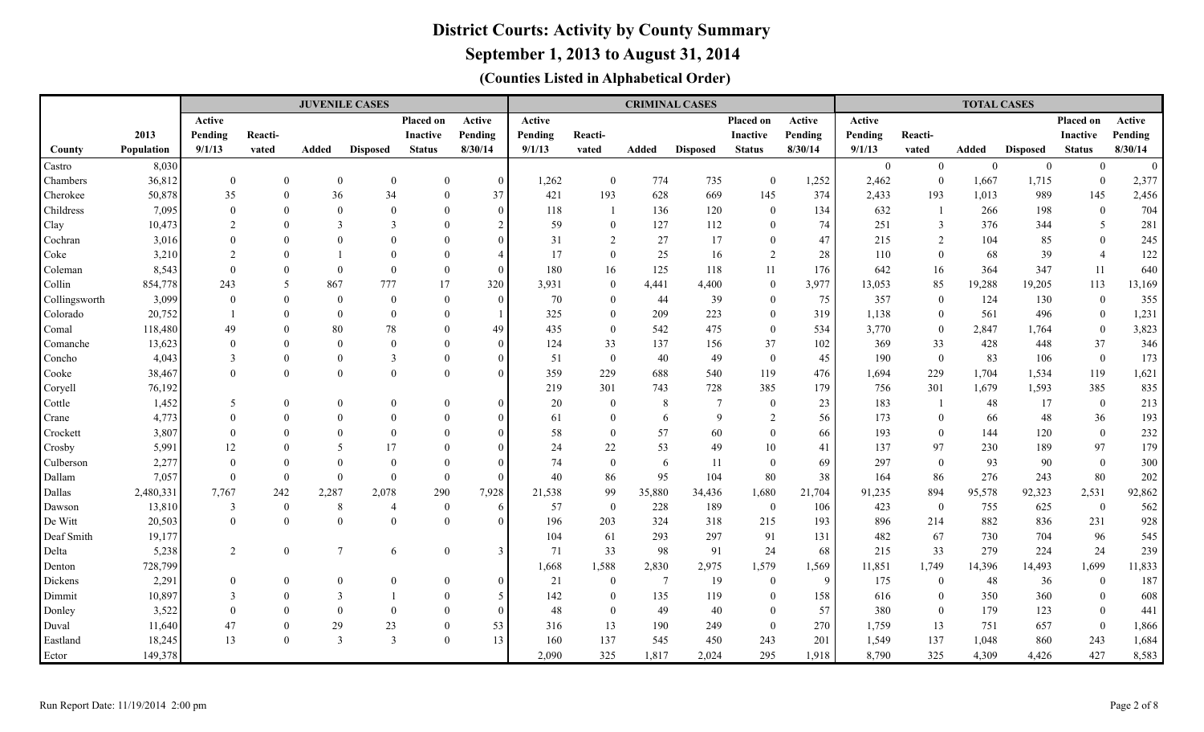### **September 1, 2013 to August 31, 2014**

|                                                                     |                                                                    |                                                  |                                                                | <b>JUVENILE CASES</b>                |                                 |                                                                |                                       |                                                 |                                                                         |                                                             | <b>CRIMINAL CASES</b>                           |                                                                                       |                                                |                                                        |                                                                   | <b>TOTAL CASES</b>                                  |                                                   |                                                                                           |                        |
|---------------------------------------------------------------------|--------------------------------------------------------------------|--------------------------------------------------|----------------------------------------------------------------|--------------------------------------|---------------------------------|----------------------------------------------------------------|---------------------------------------|-------------------------------------------------|-------------------------------------------------------------------------|-------------------------------------------------------------|-------------------------------------------------|---------------------------------------------------------------------------------------|------------------------------------------------|--------------------------------------------------------|-------------------------------------------------------------------|-----------------------------------------------------|---------------------------------------------------|-------------------------------------------------------------------------------------------|------------------------|
|                                                                     |                                                                    | Active                                           |                                                                |                                      |                                 | <b>Placed on</b>                                               | Active                                | Active                                          |                                                                         |                                                             |                                                 | Placed on                                                                             | Active                                         | Active                                                 |                                                                   |                                                     |                                                   | Placed on                                                                                 | Active                 |
|                                                                     | 2013                                                               | Pending                                          | Reacti-                                                        |                                      |                                 | <b>Inactive</b>                                                | Pending                               | Pending                                         | Reacti-                                                                 |                                                             |                                                 | Inactive                                                                              | Pending                                        | Pending                                                | Reacti-                                                           |                                                     |                                                   | <b>Inactive</b>                                                                           | Pending                |
| County                                                              | Population                                                         | 9/1/13                                           | vated                                                          | Added                                | <b>Disposed</b>                 | <b>Status</b>                                                  | 8/30/14                               | 9/1/13                                          | vated                                                                   | Added                                                       | <b>Disposed</b>                                 | <b>Status</b>                                                                         | 8/30/14                                        | 9/1/13                                                 | vated                                                             | Added                                               | <b>Disposed</b>                                   | <b>Status</b>                                                                             | 8/30/14                |
| Castro                                                              | 8,030                                                              |                                                  |                                                                |                                      |                                 |                                                                |                                       |                                                 |                                                                         |                                                             |                                                 |                                                                                       |                                                | $\overline{0}$                                         | $\overline{0}$                                                    | $\mathbf{0}$                                        | $\boldsymbol{0}$                                  | $\mathbf{0}$                                                                              | $\mathbf{0}$           |
| Chambers                                                            | 36,812                                                             | $\mathbf{0}$                                     | $\overline{0}$                                                 | $\mathbf{0}$                         | $\overline{0}$                  | $\theta$                                                       | $\overline{0}$                        | 1,262                                           | $\mathbf{0}$                                                            | 774                                                         | 735                                             | $\overline{0}$                                                                        | 1,252                                          | 2,462                                                  | $\theta$                                                          | 1,667                                               | 1,715                                             | $\bf{0}$                                                                                  | 2,377                  |
| Cherokee                                                            | 50,878                                                             | 35                                               | $\Omega$                                                       | 36                                   | 34                              | $\overline{0}$                                                 | 37                                    | 421                                             | 193                                                                     | 628                                                         | 669                                             | 145                                                                                   | 374                                            | 2,433                                                  | 193                                                               | 1,013                                               | 989                                               | 145                                                                                       | 2,456                  |
| Childress                                                           | 7,095                                                              | $\Omega$                                         | $\Omega$                                                       | $\mathbf{0}$                         | $\theta$                        | $\Omega$                                                       | $\theta$                              | 118                                             | $\overline{1}$                                                          | 136                                                         | 120                                             | $\overline{0}$                                                                        | 134                                            | 632                                                    |                                                                   | 266                                                 | 198                                               | $\mathbf{0}$                                                                              | 704                    |
| Clay                                                                | 10,473                                                             | $\mathfrak{D}_{\mathfrak{p}}$                    | $\Omega$                                                       | 3                                    | $\mathcal{F}$                   | $\Omega$                                                       | 2                                     | 59                                              | $\theta$                                                                | 127                                                         | 112                                             | $\overline{0}$                                                                        | 74                                             | 251                                                    | 3                                                                 | 376                                                 | 344                                               | 5                                                                                         | 281                    |
| Cochran                                                             | 3,016                                                              | $\Omega$                                         | $\Omega$                                                       | $\Omega$                             | $\Omega$                        | $\Omega$                                                       | $\Omega$                              | 31                                              | $\overline{2}$                                                          | 27                                                          | 17                                              | $\theta$                                                                              | 47                                             | 215                                                    | $\overline{2}$                                                    | 104                                                 | 85                                                | $\mathbf{0}$                                                                              | 245                    |
| Coke                                                                | 3,210                                                              | $\mathcal{D}$                                    | $\Omega$                                                       |                                      | $\Omega$                        | $\Omega$                                                       |                                       | 17                                              | $\overline{0}$                                                          | 25                                                          | 16                                              | 2                                                                                     | 28                                             | 110                                                    | $\overline{0}$                                                    | 68                                                  | 39                                                | $\overline{4}$                                                                            | 122                    |
| Coleman                                                             | 8,543                                                              | $\Omega$                                         | $\Omega$                                                       | $\theta$                             | $\Omega$                        | $\overline{0}$                                                 | $\Omega$                              | 180                                             | 16                                                                      | 125                                                         | 118                                             | 11                                                                                    | 176                                            | 642                                                    | 16                                                                | 364                                                 | 347                                               | 11                                                                                        | 640                    |
| Collin                                                              | 854,778                                                            | 243                                              | 5                                                              | 867                                  | 777                             | 17                                                             | 320                                   | 3,931                                           | $\overline{0}$                                                          | 4,441                                                       | 4,400                                           | $\overline{0}$                                                                        | 3,977                                          | 13,053                                                 | 85                                                                | 19,288                                              | 19,205                                            | 113                                                                                       | 13,169                 |
| Collingsworth                                                       | 3,099                                                              | $\Omega$                                         | $\Omega$                                                       | $\mathbf{0}$                         | $\overline{0}$                  | $\overline{0}$                                                 | $\theta$                              | 70                                              | $\overline{0}$                                                          | 44                                                          | 39                                              | $\theta$                                                                              | 75                                             | 357                                                    | $\theta$                                                          | 124                                                 | 130                                               | $\mathbf{0}$                                                                              | 355                    |
| Colorado                                                            | 20,752                                                             |                                                  | $\Omega$                                                       | $\mathbf{0}$                         | $\theta$                        | $\Omega$                                                       |                                       | 325                                             | $\overline{0}$                                                          | 209                                                         | 223                                             | $\theta$                                                                              | 319                                            | 1,138                                                  | $\theta$                                                          | 561                                                 | 496                                               | $\boldsymbol{0}$                                                                          | 1,231                  |
| Comal                                                               | 118,480                                                            | 49                                               | $\Omega$                                                       | 80                                   | 78                              | $\Omega$                                                       | 49                                    | 435                                             | $\mathbf{0}$                                                            | 542                                                         | 475                                             | $\mathbf{0}$                                                                          | 534                                            | 3,770                                                  | $\mathbf{0}$                                                      | 2,847                                               | 1,764                                             | $\boldsymbol{0}$                                                                          | 3,823                  |
| Comanche                                                            | 13,623                                                             | $\Omega$                                         | $\Omega$                                                       | $\theta$                             | $\theta$                        | $\Omega$                                                       | $\theta$                              | 124                                             | 33                                                                      | 137                                                         | 156                                             | 37                                                                                    | 102                                            | 369                                                    | 33                                                                | 428                                                 | 448                                               | 37                                                                                        | 346                    |
| Concho                                                              | 4,043                                                              | 3                                                | $\Omega$                                                       | $\theta$                             | $\overline{3}$                  | $\Omega$                                                       | $\Omega$                              | 51                                              | $\mathbf{0}$                                                            | 40                                                          | 49                                              | $\overline{0}$                                                                        | 45                                             | 190                                                    | $\overline{0}$                                                    | 83                                                  | 106                                               | $\mathbf{0}$                                                                              | 173                    |
| Cooke                                                               | 38,467                                                             | $\Omega$                                         | $\theta$                                                       | $\mathbf{0}$                         | $\theta$                        | $\theta$                                                       | $\Omega$                              | 359                                             | 229                                                                     | 688                                                         | 540                                             | 119                                                                                   | 476                                            | 1,694                                                  | 229                                                               | 1,704                                               | 1,534                                             | 119                                                                                       | 1,621                  |
| Coryell                                                             | 76,192                                                             |                                                  |                                                                |                                      |                                 |                                                                |                                       | 219                                             | 301                                                                     | 743                                                         | 728                                             | 385                                                                                   | 179                                            | 756                                                    | 301                                                               | 1,679                                               | 1,593                                             | 385                                                                                       | 835                    |
| Cottle                                                              | 1,452                                                              | 5                                                | $\Omega$                                                       | $\mathbf{0}$                         | $\mathbf{0}$                    | $\overline{0}$                                                 | $\Omega$                              | 20                                              | $\bf{0}$                                                                | 8                                                           | $\overline{7}$                                  | $\overline{0}$                                                                        | 23                                             | 183                                                    |                                                                   | 48                                                  | 17                                                | $\overline{0}$                                                                            | 213                    |
| Crane                                                               | 4,773                                                              | $\Omega$                                         | $\Omega$                                                       | $\mathbf{0}$                         | $\Omega$                        | $\Omega$                                                       | $\Omega$                              | 61                                              | $\overline{0}$                                                          | -6                                                          | $\mathbf Q$                                     | 2                                                                                     | 56                                             | 173                                                    | $\theta$                                                          | 66                                                  | 48                                                | 36                                                                                        | 193                    |
| Crockett                                                            | 3,807                                                              | $\Omega$                                         | $\Omega$                                                       | $\theta$                             | $\Omega$                        | $\Omega$                                                       | $\Omega$                              | 58                                              | $\overline{0}$                                                          | 57                                                          | 60                                              | $\theta$                                                                              | 66                                             | 193                                                    | $\overline{0}$                                                    | 144                                                 | 120                                               | $\mathbf{0}$                                                                              | 232                    |
| Crosby                                                              | 5,991                                                              | 12                                               | $\Omega$                                                       | $\overline{5}$                       | 17                              | $\Omega$                                                       | $\Omega$                              | 24                                              | 22                                                                      | 53                                                          | 49                                              | 10                                                                                    | 41                                             | 137                                                    | 97                                                                | 230                                                 | 189                                               | 97                                                                                        | 179                    |
| Culberson                                                           | 2,277                                                              | $\Omega$                                         | $\Omega$                                                       | $\theta$                             | $\theta$                        | $\Omega$                                                       | $\Omega$                              | 74                                              | $\overline{0}$                                                          | 6                                                           | 11                                              | $\theta$                                                                              | 69                                             | 297                                                    | $\overline{0}$                                                    | 93                                                  | 90                                                | $\mathbf{0}$                                                                              | 300                    |
| Dallam                                                              | 7,057                                                              | $\Omega$                                         | $\Omega$                                                       | $\theta$                             | $\theta$                        | $\theta$                                                       | $\Omega$                              | 40                                              | 86                                                                      | 95                                                          | 104                                             | 80                                                                                    | 38                                             | 164                                                    | 86                                                                | 276                                                 | 243                                               | 80                                                                                        | 202                    |
| Dallas                                                              | 2,480,331                                                          | 7,767                                            | 242                                                            | 2,287                                | 2,078                           | 290                                                            | 7,928                                 | 21,538                                          | 99                                                                      | 35,880                                                      | 34,436                                          | 1,680                                                                                 | 21,704                                         | 91,235                                                 | 894                                                               | 95,578                                              | 92,323                                            | 2,531                                                                                     | 92,862                 |
| Dawson                                                              | 13,810                                                             | $\mathbf{3}$                                     | $\boldsymbol{0}$                                               | $\,8\,$                              | $\overline{4}$                  | $\overline{0}$                                                 | 6                                     | 57                                              | $\mathbf{0}$                                                            | 228                                                         | 189                                             | $\overline{0}$                                                                        | 106                                            | 423                                                    | $\theta$                                                          | 755                                                 | 625                                               | $\overline{0}$                                                                            | 562                    |
| De Witt                                                             | 20,503                                                             | $\Omega$                                         | $\boldsymbol{0}$                                               | $\mathbf{0}$                         | $\overline{0}$                  | $\overline{0}$                                                 | $\Omega$                              | 196                                             | 203                                                                     | 324                                                         | 318                                             | 215                                                                                   | 193                                            | 896                                                    | 214                                                               | 882                                                 | 836                                               | 231                                                                                       | 928                    |
| Deaf Smith                                                          | 19,177                                                             |                                                  |                                                                |                                      |                                 |                                                                |                                       | 104                                             | 61                                                                      | 293                                                         | 297                                             | 91                                                                                    | 131                                            | 482                                                    | 67                                                                | 730                                                 | 704                                               | 96                                                                                        | 545                    |
| Delta                                                               | 5,238                                                              | $\overline{2}$                                   | $\theta$                                                       | $7\phantom{.0}$                      | 6                               | $\overline{0}$                                                 | 3                                     | 71                                              | 33                                                                      | 98                                                          | 91                                              | 24                                                                                    | 68                                             | 215                                                    | 33                                                                | 279                                                 | 224                                               | 24                                                                                        | 239                    |
|                                                                     |                                                                    |                                                  |                                                                |                                      |                                 |                                                                |                                       |                                                 |                                                                         |                                                             |                                                 |                                                                                       |                                                |                                                        |                                                                   |                                                     |                                                   |                                                                                           | 187                    |
|                                                                     |                                                                    |                                                  |                                                                |                                      |                                 |                                                                |                                       |                                                 |                                                                         |                                                             |                                                 |                                                                                       |                                                |                                                        |                                                                   |                                                     |                                                   |                                                                                           |                        |
|                                                                     |                                                                    |                                                  |                                                                |                                      |                                 |                                                                |                                       |                                                 |                                                                         |                                                             |                                                 |                                                                                       |                                                |                                                        |                                                                   |                                                     |                                                   |                                                                                           | 441                    |
|                                                                     |                                                                    |                                                  |                                                                |                                      |                                 |                                                                |                                       |                                                 |                                                                         |                                                             |                                                 |                                                                                       |                                                |                                                        |                                                                   |                                                     |                                                   |                                                                                           |                        |
|                                                                     |                                                                    |                                                  |                                                                |                                      |                                 |                                                                |                                       |                                                 |                                                                         |                                                             |                                                 |                                                                                       |                                                |                                                        |                                                                   |                                                     |                                                   |                                                                                           | 1,684                  |
|                                                                     |                                                                    |                                                  |                                                                |                                      |                                 |                                                                |                                       |                                                 |                                                                         |                                                             |                                                 |                                                                                       |                                                |                                                        |                                                                   |                                                     |                                                   |                                                                                           | 8,583                  |
| Denton<br>Dickens<br>Dimmit<br>Donley<br>Duval<br>Eastland<br>Ector | 728,799<br>2,291<br>10,897<br>3,522<br>11,640<br>18,245<br>149,378 | $\theta$<br>$\mathbf{3}$<br>$\Omega$<br>47<br>13 | $\Omega$<br>$\Omega$<br>$\Omega$<br>$\overline{0}$<br>$\Omega$ | $\theta$<br>3<br>$\theta$<br>29<br>3 | $\theta$<br>$\theta$<br>23<br>3 | $\overline{0}$<br>$\Omega$<br>$\Omega$<br>$\Omega$<br>$\theta$ | $\Omega$<br>5<br>$\Omega$<br>53<br>13 | 1,668<br>21<br>142<br>48<br>316<br>160<br>2,090 | 1,588<br>$\bf{0}$<br>$\mathbf{0}$<br>$\overline{0}$<br>13<br>137<br>325 | 2,830<br>$\overline{7}$<br>135<br>49<br>190<br>545<br>1,817 | 2,975<br>19<br>119<br>40<br>249<br>450<br>2,024 | 1,579<br>$\overline{0}$<br>$\overline{0}$<br>$\overline{0}$<br>$\theta$<br>243<br>295 | 1,569<br>9<br>158<br>57<br>270<br>201<br>1,918 | 11,851<br>175<br>616<br>380<br>1,759<br>1,549<br>8,790 | 1,749<br>$\mathbf{0}$<br>$\theta$<br>$\theta$<br>13<br>137<br>325 | 14,396<br>48<br>350<br>179<br>751<br>1,048<br>4,309 | 14,493<br>36<br>360<br>123<br>657<br>860<br>4,426 | 1,699<br>$\boldsymbol{0}$<br>$\mathbf{0}$<br>$\mathbf{0}$<br>$\overline{0}$<br>243<br>427 | 11,833<br>608<br>1,866 |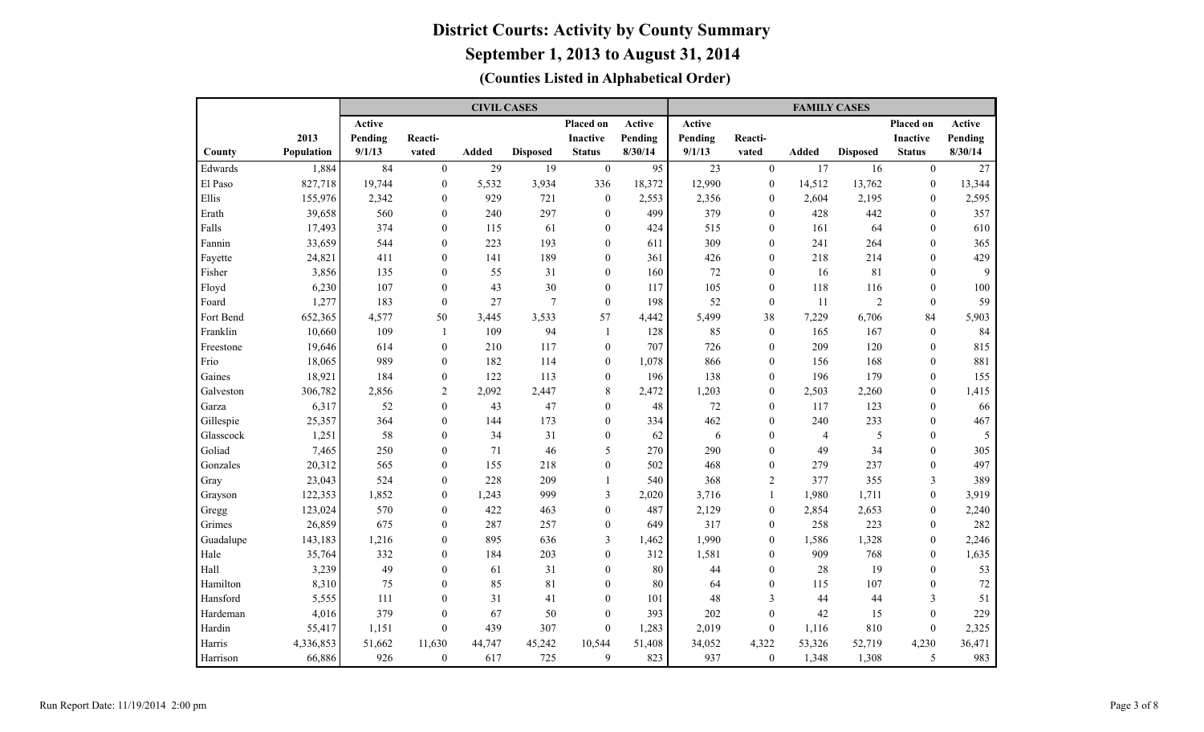|           |            |         |                  | <b>CIVIL CASES</b> |                 |                         |         |         |                  | <b>FAMILY CASES</b> |                 |                  |         |
|-----------|------------|---------|------------------|--------------------|-----------------|-------------------------|---------|---------|------------------|---------------------|-----------------|------------------|---------|
|           |            | Active  |                  |                    |                 | Placed on               | Active  | Active  |                  |                     |                 | Placed on        | Active  |
|           | 2013       | Pending | Reacti-          |                    |                 | <b>Inactive</b>         | Pending | Pending | Reacti-          |                     |                 | <b>Inactive</b>  | Pending |
| County    | Population | 9/1/13  | vated            | <b>Added</b>       | <b>Disposed</b> | <b>Status</b>           | 8/30/14 | 9/1/13  | vated            | Added               | <b>Disposed</b> | <b>Status</b>    | 8/30/14 |
| Edwards   | 1,884      | 84      | $\theta$         | 29                 | 19              | $\mathbf{0}$            | 95      | 23      | $\theta$         | 17                  | 16              | $\mathbf{0}$     | 27      |
| El Paso   | 827,718    | 19,744  | $\overline{0}$   | 5,532              | 3,934           | 336                     | 18,372  | 12,990  | $\mathbf{0}$     | 14,512              | 13,762          | $\mathbf{0}$     | 13,344  |
| Ellis     | 155,976    | 2,342   | $\mathbf{0}$     | 929                | 721             | $\boldsymbol{0}$        | 2,553   | 2,356   | $\theta$         | 2,604               | 2,195           | $\mathbf{0}$     | 2,595   |
| Erath     | 39,658     | 560     | $\theta$         | 240                | 297             | $\overline{0}$          | 499     | 379     | $\theta$         | 428                 | 442             | $\theta$         | 357     |
| Falls     | 17,493     | 374     | $\theta$         | 115                | 61              | $\mathbf{0}$            | 424     | 515     | $\theta$         | 161                 | 64              | $\theta$         | 610     |
| Fannin    | 33,659     | 544     | $\theta$         | 223                | 193             | $\mathbf{0}$            | 611     | 309     | $\theta$         | 241                 | 264             | $\theta$         | 365     |
| Fayette   | 24,821     | 411     | $\mathbf{0}$     | 141                | 189             | $\overline{0}$          | 361     | 426     | $\mathbf{0}$     | 218                 | 214             | $\mathbf{0}$     | 429     |
| Fisher    | 3,856      | 135     | $\mathbf{0}$     | 55                 | 31              | 0                       | 160     | 72      | $\mathbf{0}$     | 16                  | 81              | $\theta$         | 9       |
| Floyd     | 6,230      | 107     | $\mathbf{0}$     | 43                 | 30              | $\mathbf{0}$            | 117     | 105     | $\mathbf{0}$     | 118                 | 116             | $\mathbf{0}$     | 100     |
| Foard     | 1,277      | 183     | $\theta$         | 27                 | $\overline{7}$  | $\boldsymbol{0}$        | 198     | 52      | $\mathbf{0}$     | 11                  | $\overline{2}$  | $\theta$         | 59      |
| Fort Bend | 652,365    | 4,577   | 50               | 3,445              | 3,533           | 57                      | 4,442   | 5,499   | 38               | 7,229               | 6,706           | 84               | 5,903   |
| Franklin  | 10,660     | 109     | $\mathbf{1}$     | 109                | 94              | 1                       | 128     | 85      | $\mathbf{0}$     | 165                 | 167             | $\mathbf{0}$     | 84      |
| Freestone | 19,646     | 614     | $\overline{0}$   | 210                | 117             | $\mathbf{0}$            | 707     | 726     | $\theta$         | 209                 | 120             | $\theta$         | 815     |
| Frio      | 18,065     | 989     | $\theta$         | 182                | 114             | $\overline{0}$          | 1,078   | 866     | $\theta$         | 156                 | 168             | $\theta$         | 881     |
| Gaines    | 18,921     | 184     | $\theta$         | 122                | 113             | $\overline{0}$          | 196     | 138     | $\theta$         | 196                 | 179             | $\theta$         | 155     |
| Galveston | 306,782    | 2,856   | $\overline{2}$   | 2,092              | 2,447           | 8                       | 2,472   | 1,203   | $\theta$         | 2,503               | 2,260           | $\mathbf{0}$     | 1,415   |
| Garza     | 6,317      | 52      | $\theta$         | 43                 | 47              | $\overline{0}$          | 48      | 72      | $\theta$         | 117                 | 123             | $\theta$         | 66      |
| Gillespie | 25,357     | 364     | $\theta$         | 144                | 173             | $\theta$                | 334     | 462     | $\theta$         | 240                 | 233             | $\theta$         | 467     |
| Glasscock | 1,251      | 58      | $\theta$         | 34                 | 31              | $\overline{0}$          | 62      | 6       | $\theta$         | $\overline{4}$      | 5               | $\theta$         | 5       |
| Goliad    | 7,465      | 250     | $\theta$         | 71                 | 46              | 5                       | 270     | 290     | $\theta$         | 49                  | 34              | $\Omega$         | 305     |
| Gonzales  | 20,312     | 565     | $\theta$         | 155                | 218             | $\overline{0}$          | 502     | 468     | $\theta$         | 279                 | 237             | $\theta$         | 497     |
| Gray      | 23,043     | 524     | $\theta$         | 228                | 209             | $\mathbf{1}$            | 540     | 368     | $\overline{2}$   | 377                 | 355             | 3                | 389     |
| Grayson   | 122,353    | 1,852   | $\theta$         | 1,243              | 999             | $\overline{\mathbf{3}}$ | 2,020   | 3,716   | $\mathbf{1}$     | 1,980               | 1,711           | $\theta$         | 3,919   |
| Gregg     | 123,024    | 570     | $\boldsymbol{0}$ | 422                | 463             | $\boldsymbol{0}$        | 487     | 2,129   | $\boldsymbol{0}$ | 2,854               | 2,653           | $\boldsymbol{0}$ | 2,240   |
| Grimes    | 26,859     | 675     | $\boldsymbol{0}$ | 287                | 257             | $\boldsymbol{0}$        | 649     | 317     | $\boldsymbol{0}$ | 258                 | 223             | $\boldsymbol{0}$ | 282     |
| Guadalupe | 143,183    | 1,216   | $\boldsymbol{0}$ | 895                | 636             | 3                       | 1,462   | 1,990   | $\boldsymbol{0}$ | 1,586               | 1,328           | $\boldsymbol{0}$ | 2,246   |
| Hale      | 35,764     | 332     | $\boldsymbol{0}$ | 184                | 203             | $\boldsymbol{0}$        | 312     | 1,581   | $\boldsymbol{0}$ | 909                 | 768             | $\boldsymbol{0}$ | 1,635   |
| Hall      | 3,239      | 49      | $\boldsymbol{0}$ | 61                 | 31              | 0                       | 80      | 44      | $\boldsymbol{0}$ | 28                  | 19              | $\boldsymbol{0}$ | 53      |
| Hamilton  | 8,310      | 75      | $\boldsymbol{0}$ | 85                 | 81              | $\boldsymbol{0}$        | 80      | 64      | $\boldsymbol{0}$ | 115                 | 107             | $\boldsymbol{0}$ | 72      |
| Hansford  | 5,555      | 111     | $\overline{0}$   | 31                 | 41              | $\mathbf{0}$            | 101     | 48      | 3                | 44                  | 44              | 3                | 51      |
| Hardeman  | 4,016      | 379     | $\mathbf{0}$     | 67                 | 50              | $\boldsymbol{0}$        | 393     | 202     | $\mathbf{0}$     | 42                  | 15              | $\theta$         | 229     |
| Hardin    | 55,417     | 1,151   | $\boldsymbol{0}$ | 439                | 307             | $\boldsymbol{0}$        | 1,283   | 2,019   | $\mathbf{0}$     | 1,116               | 810             | $\mathbf{0}$     | 2,325   |
| Harris    | 4,336,853  | 51,662  | 11,630           | 44,747             | 45,242          | 10,544                  | 51,408  | 34,052  | 4,322            | 53,326              | 52,719          | 4,230            | 36,471  |
| Harrison  | 66,886     | 926     | $\boldsymbol{0}$ | 617                | 725             | 9                       | 823     | 937     | $\mathbf{0}$     | 1,348               | 1,308           | 5                | 983     |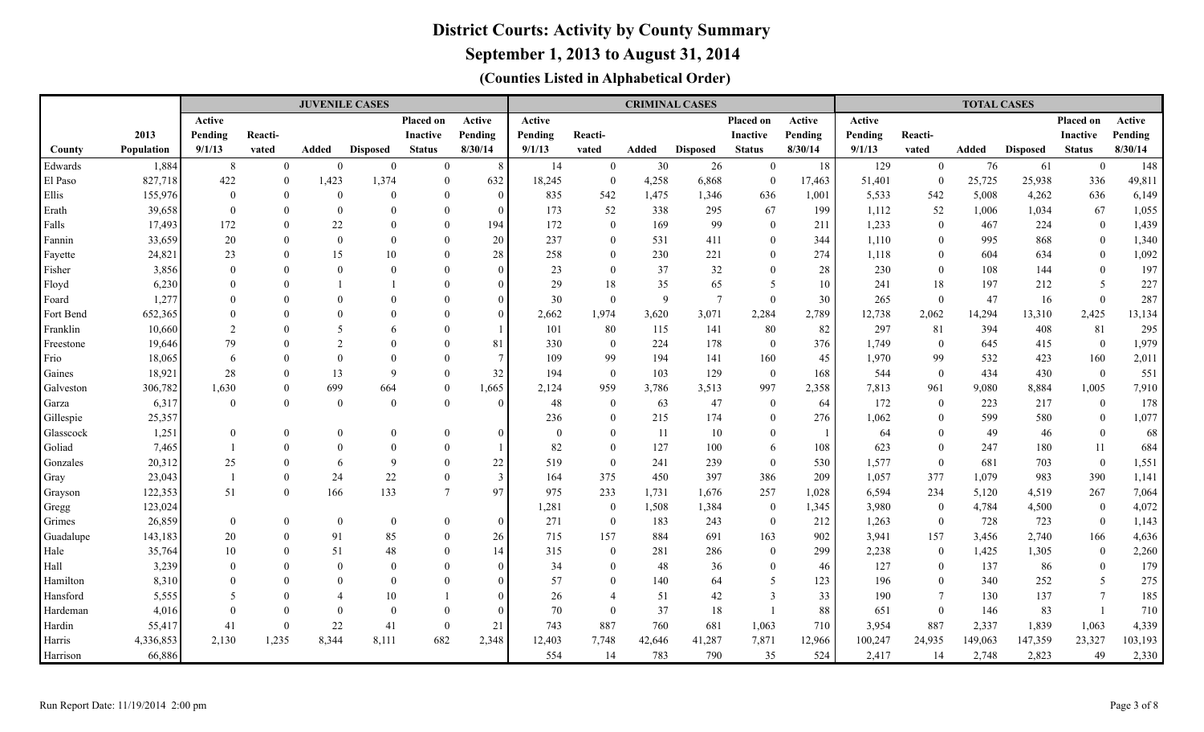**September 1, 2013 to August 31, 2014**

|                      |                |                |                | <b>JUVENILE CASES</b> |                 |                      |                                  |              |                                |           | <b>CRIMINAL CASES</b> |                   |           |            |                      | <b>TOTAL CASES</b> |                 |                              |              |
|----------------------|----------------|----------------|----------------|-----------------------|-----------------|----------------------|----------------------------------|--------------|--------------------------------|-----------|-----------------------|-------------------|-----------|------------|----------------------|--------------------|-----------------|------------------------------|--------------|
|                      |                | Active         |                |                       |                 | Placed on            | Active                           | Active       |                                |           |                       | Placed on         | Active    | Active     |                      |                    |                 | Placed on                    | Active       |
|                      | 2013           | Pending        | Reacti-        |                       |                 | <b>Inactive</b>      | Pending                          | Pending      | Reacti-                        |           |                       | <b>Inactive</b>   | Pending   | Pending    | Reacti-              |                    |                 | <b>Inactive</b>              | Pending      |
| County               | Population     | 9/1/13         | vated          | Added                 | <b>Disposed</b> | <b>Status</b>        | 8/30/14                          | 9/1/13       | vated                          | Added     | <b>Disposed</b>       | <b>Status</b>     | 8/30/14   | 9/1/13     | vated                | Added              | <b>Disposed</b> | <b>Status</b>                | 8/30/14      |
| Edwards              | 1,884          | 8              | $\Omega$       | $\theta$              | $\mathbf{0}$    | $\overline{0}$       | 8                                | 14           | $\overline{0}$                 | 30        | 26                    | $\mathbf{0}$      | 18        | 129        | $\overline{0}$       | 76                 | 61              | $\mathbf{0}$                 | 148          |
| El Paso              | 827,718        | 422            | $\theta$       | 1,423                 | 1,374           | $\overline{0}$       | 632                              | 18,245       | $\mathbf{0}$                   | 4,258     | 6,868                 | $\overline{0}$    | 17,463    | 51,401     | $\Omega$             | 25,725             | 25,938          | 336                          | 49,811       |
| Ellis                | 155,976        | $\theta$       | $\theta$       | $\overline{0}$        | $\theta$        | $\mathbf{0}$         | $\boldsymbol{0}$                 | 835          | 542                            | 1,475     | 1,346                 | 636               | 1,001     | 5,533      | 542                  | 5,008              | 4,262           | 636                          | 6,149        |
| Erath                | 39,658         | $\Omega$       | $\Omega$       | $\overline{0}$        | $\Omega$        | $\theta$             | $\overline{0}$                   | 173          | 52                             | 338       | 295                   | 67                | 199       | 1,112      | 52                   | 1,006              | 1,034           | 67                           | 1,055        |
| Falls                | 17,493         | 172            | $\theta$       | 22                    | $\Omega$        | $\theta$             | 194                              | 172          | $\mathbf{0}$                   | 169       | 99                    | $\overline{0}$    | 211       | 1,233      | $\Omega$             | 467                | 224             | $\overline{0}$               | 1,439        |
| Fannin               | 33,659         | 20             | $\theta$       | $\theta$              | $\Omega$        | $\theta$             | 20                               | 237          | $\mathbf{0}$                   | 531       | 411                   | $\overline{0}$    | 344       | 1,110      | $\theta$             | 995                | 868             | $\mathbf{0}$                 | 1,340        |
| Fayette              | 24,821         | 23             | $\Omega$       | 15                    | 10              | $\Omega$             | 28                               | 258          | $\mathbf{0}$                   | 230       | 221                   | $\overline{0}$    | 274       | 1,118      | $\theta$             | 604                | 634             | $\mathbf{0}$                 | 1,092        |
| Fisher               | 3,856          | $\Omega$       |                | $\Omega$              | $\Omega$        | $\Omega$             | $\theta$                         | 23           | $\theta$                       | 37        | 32                    | $\overline{0}$    | 28        | 230        | $\theta$             | 108                | 144             | $\mathbf{0}$                 | 197          |
| Floyd                | 6,230          | $\Omega$       |                |                       |                 | $\Omega$             | $\overline{0}$                   | 29           | 18                             | 35        | 65                    | 5                 | 10        | 241        | 18                   | 197                | 212             | 5                            | 227          |
| Foard                | 1,277          |                |                | $\Omega$              |                 |                      | $\overline{0}$                   | 30           | $\theta$                       | 9         | $7\phantom{.0}$       | $\overline{0}$    | 30        | 265        | $\Omega$             | 47                 | 16              | $\mathbf{0}$                 | 287          |
| Fort Bend            | 652,365        |                |                | $\Omega$              |                 |                      | $\mathbf{0}$                     | 2,662        | 1,974                          | 3,620     | 3,071                 | 2,284             | 2,789     | 12,738     | 2,062                | 14,294             | 13,310          | 2,425                        | 13,134       |
| Franklin             | 10,660         | $\overline{2}$ |                | $\overline{5}$        |                 |                      | $\overline{1}$                   | 101          | 80                             | 115       | 141                   | 80                | 82        | 297        | 81                   | 394                | 408             | 81                           | 295          |
| Freestone            | 19,646         | 79             |                | $\mathcal{L}$         |                 |                      | 81                               | 330          | $\overline{0}$                 | 224       | 178                   | $\boldsymbol{0}$  | 376       | 1,749      | $\mathbf{0}$         | 645                | 415             | $\boldsymbol{0}$             | 1,979        |
| Frio                 | 18,065         | 6              |                | $\overline{0}$        | $\Omega$        |                      | $7\phantom{.0}$                  | 109          | 99                             | 194       | 141                   | 160               | 45        | 1,970      | 99                   | 532                | 423             | 160                          | 2,011        |
| Gaines               | 18,921         | 28             | $\theta$       | 13                    | $\mathbf Q$     | $\Omega$             | 32                               | 194          | $\mathbf{0}$                   | 103       | 129                   | $\bf{0}$          | 168       | 544        | $\mathbf{0}$         | 434                | 430             | $\overline{0}$               | 551          |
| Galveston            | 306,782        | 1,630          | $\Omega$       | 699                   | 664             | $\theta$             | 1,665                            | 2,124        | 959                            | 3,786     | 3,513                 | 997               | 2,358     | 7,813      | 961                  | 9,080              | 8,884           | 1,005                        | 7,910        |
| Garza                | 6,317          | $\Omega$       | $\Omega$       | $\overline{0}$        | $\theta$        | $\theta$             | $\overline{0}$                   | 48           | $\theta$                       | 63        | 47                    | $\overline{0}$    | 64        | 172        | $\Omega$             | 223                | 217             | $\mathbf{0}$                 | 178          |
| Gillespie            | 25,357         |                |                |                       |                 |                      |                                  | 236          | $\mathbf{0}$                   | 215       | 174                   | $\overline{0}$    | 276       | 1,062      | $\theta$             | 599                | 580             | $\mathbf{0}$                 | 1,077        |
| Glasscock            | 1,251          | $\theta$       | $\theta$       | $\theta$              | $\Omega$        | $\mathbf{0}$         | $\overline{0}$                   | $\mathbf{0}$ | $\mathbf{0}$                   | 11        | 10                    | $\overline{0}$    |           | 64         | $\Omega$             | 49                 | 46              | $\mathbf{0}$                 | 68           |
| Goliad               | 7,465          |                | $\theta$       | $\Omega$              | $\Omega$        | $\theta$             |                                  | 82           | $\theta$                       | 127       | 100                   | 6                 | 108       | 623        | $\Omega$             | 247                | 180             | 11                           | 684          |
| Gonzales             | 20,312         | 25             | $\Omega$       | 6                     | $\mathbf Q$     | $\Omega$             | $22\,$                           | 519          | $\theta$                       | 241       | 239                   | $\overline{0}$    | 530       | 1,577      | $\Omega$             | 681                | 703             | $\mathbf{0}$                 | 1,551        |
| Gray                 | 23,043         |                | $\Omega$       | 24                    | 22              | $\Omega$             | $\overline{\mathbf{3}}$          | 164          | 375                            | 450       | 397                   | 386               | 209       | 1,057      | 377                  | 1,079              | 983             | 390                          | 1,141        |
| Grayson              | 122,353        | 51             | $\overline{0}$ | 166                   | 133             | $\overline{7}$       | 97                               | 975          | 233                            | 1,731     | 1,676                 | 257               | 1,028     | 6,594      | 234                  | 5,120              | 4,519           | 267                          | 7,064        |
| Gregg                | 123,024        |                |                |                       |                 |                      |                                  | 1,281        | $\mathbf{0}$                   | 1,508     | 1,384                 | $\overline{0}$    | 1,345     | 3,980      | $\mathbf{0}$         | 4,784              | 4,500           | $\overline{0}$               | 4,072        |
| Grimes               | 26,859         | $\mathbf{0}$   | $\mathbf{0}$   | $\mathbf{0}$          | $\mathbf{0}$    | $\overline{0}$       | $\overline{0}$                   | 271          | $\mathbf{0}$                   | 183       | 243                   | $\bf{0}$          | 212       | 1,263      | $\Omega$             | 728                | 723             | $\mathbf{0}$                 | 1,143        |
| Guadalupe            | 143,183        | 20             | $\theta$       | 91                    | 85              | $\overline{0}$       | 26                               | 715          | 157                            | 884       | 691                   | 163               | 902       | 3,941      | 157                  | 3,456              | 2,740           | 166                          | 4,636        |
| Hale                 | 35,764         | 10<br>$\Omega$ | $\theta$       | 51<br>$\Omega$        | 48<br>$\Omega$  | $\theta$<br>$\Omega$ | 14                               | 315          | $\mathbf{0}$                   | 281       | 286                   | $\overline{0}$    | 299       | 2,238      | $\Omega$<br>$\Omega$ | 1,425<br>137       | 1,305           | $\mathbf{0}$                 | 2,260<br>179 |
| Hall                 | 3,239          | $\Omega$       |                | $\Omega$              | $\Omega$        |                      | $\bf{0}$                         | 34           | $\mathbf{0}$                   | 48        | 36                    | $\mathbf{0}$<br>5 | 46        | 127        | $\theta$             |                    | 86              | $\boldsymbol{0}$             | 275          |
| Hamilton<br>Hansford | 8,310          | 5              | $\theta$       | $\overline{4}$        | 10              |                      | $\overline{0}$<br>$\overline{0}$ | 57<br>26     | $\mathbf{0}$<br>$\overline{4}$ | 140<br>51 | 64<br>42              | 3                 | 123<br>33 | 196<br>190 | $\overline{7}$       | 340<br>130         | 252<br>137      | $\sqrt{5}$<br>$\overline{7}$ | 185          |
| Hardeman             | 5,555<br>4,016 | $\Omega$       | $\theta$       | $\theta$              | $\Omega$        | $\Omega$             | $\theta$                         | 70           | $\Omega$                       | 37        | 18                    |                   | 88        | 651        | $\theta$             | 146                | 83              |                              | 710          |
| Hardin               | 55,417         | 41             | $\theta$       | 22                    | 41              | $\theta$             | 21                               | 743          | 887                            | 760       | 681                   | 1,063             | 710       | 3,954      | 887                  | 2,337              | 1,839           | 1,063                        | 4,339        |
| Harris               | 4,336,853      | 2,130          | 1,235          | 8,344                 | 8,111           | 682                  | 2,348                            | 12,403       | 7,748                          | 42,646    | 41,287                | 7,871             | 12,966    | 100,247    | 24,935               | 149,063            | 147,359         | 23,327                       | 103,193      |
|                      |                |                |                |                       |                 |                      |                                  |              |                                |           |                       |                   |           |            |                      |                    |                 |                              |              |
| Harrison             | 66,886         |                |                |                       |                 |                      |                                  | 554          | 14                             | 783       | 790                   | 35                | 524       | 2,417      | 14                   | 2,748              | 2,823           | 49                           | 2,330        |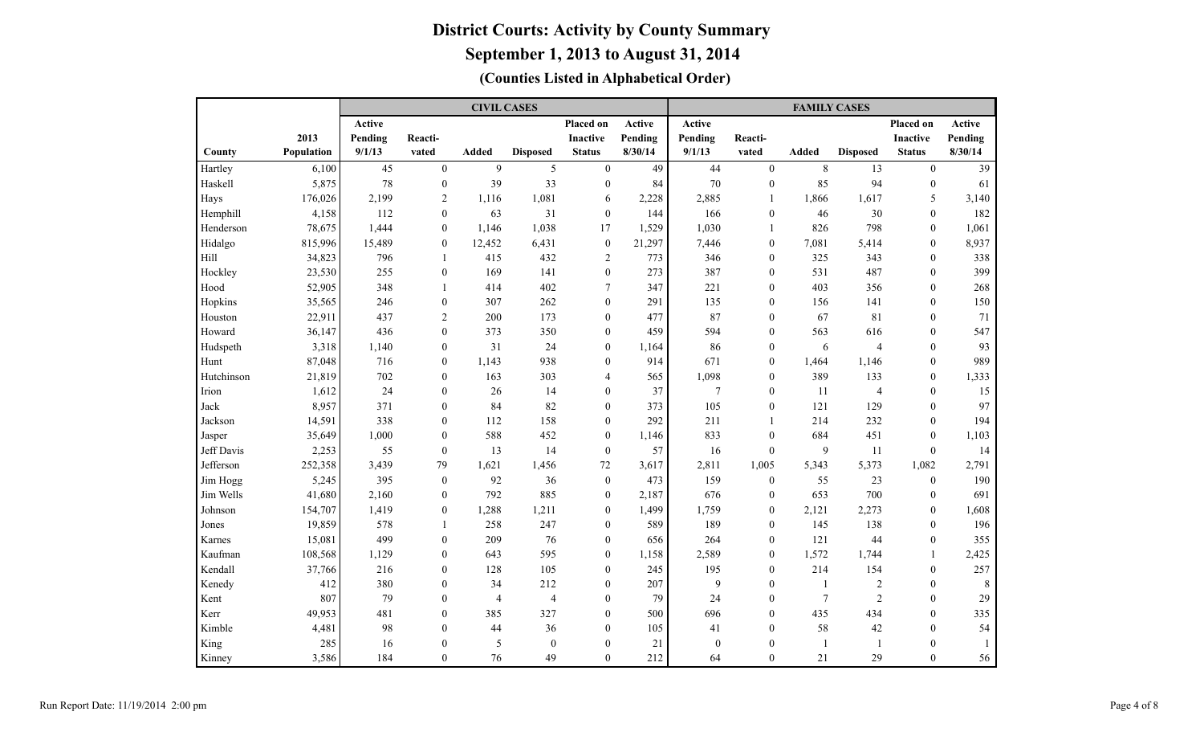|            |            |         |                  | <b>CIVIL CASES</b> |                  |                  |         |          |                  | <b>FAMILY CASES</b> |                 |                 |         |
|------------|------------|---------|------------------|--------------------|------------------|------------------|---------|----------|------------------|---------------------|-----------------|-----------------|---------|
|            |            | Active  |                  |                    |                  | Placed on        | Active  | Active   |                  |                     |                 | Placed on       | Active  |
|            | 2013       | Pending | Reacti-          |                    |                  | Inactive         | Pending | Pending  | Reacti-          |                     |                 | <b>Inactive</b> | Pending |
| County     | Population | 9/1/13  | vated            | <b>Added</b>       | <b>Disposed</b>  | <b>Status</b>    | 8/30/14 | 9/1/13   | vated            | <b>Added</b>        | <b>Disposed</b> | <b>Status</b>   | 8/30/14 |
| Hartley    | 6,100      | 45      | $\theta$         | 9                  | 5                | $\boldsymbol{0}$ | 49      | 44       | $\theta$         | 8                   | 13              | $\theta$        | 39      |
| Haskell    | 5,875      | 78      | $\mathbf{0}$     | 39                 | 33               | $\boldsymbol{0}$ | 84      | 70       | $\mathbf{0}$     | 85                  | 94              | $\mathbf{0}$    | 61      |
| Hays       | 176,026    | 2,199   | $\overline{c}$   | 1,116              | 1,081            | 6                | 2,228   | 2,885    | $\overline{1}$   | 1,866               | 1,617           | 5               | 3,140   |
| Hemphill   | 4,158      | 112     | $\overline{0}$   | 63                 | 31               | $\boldsymbol{0}$ | 144     | 166      | $\mathbf{0}$     | 46                  | 30              | $\mathbf{0}$    | 182     |
| Henderson  | 78,675     | 1,444   | $\overline{0}$   | 1,146              | 1,038            | 17               | 1,529   | 1,030    | $\mathbf{1}$     | 826                 | 798             | $\mathbf{0}$    | 1,061   |
| Hidalgo    | 815,996    | 15,489  | $\overline{0}$   | 12,452             | 6,431            | $\boldsymbol{0}$ | 21,297  | 7,446    | $\mathbf{0}$     | 7,081               | 5,414           | $\mathbf{0}$    | 8,937   |
| Hill       | 34,823     | 796     | 1                | 415                | 432              | 2                | 773     | 346      | $\mathbf{0}$     | 325                 | 343             | $\mathbf{0}$    | 338     |
| Hockley    | 23,530     | 255     | $\boldsymbol{0}$ | 169                | 141              | $\boldsymbol{0}$ | 273     | 387      | $\mathbf{0}$     | 531                 | 487             | $\mathbf{0}$    | 399     |
| Hood       | 52,905     | 348     | 1                | 414                | 402              | $\tau$           | 347     | 221      | $\mathbf{0}$     | 403                 | 356             | $\mathbf{0}$    | 268     |
| Hopkins    | 35,565     | 246     | $\boldsymbol{0}$ | 307                | 262              | $\overline{0}$   | 291     | 135      | $\mathbf{0}$     | 156                 | 141             | $\mathbf{0}$    | 150     |
| Houston    | 22,911     | 437     | $\overline{c}$   | 200                | 173              | $\overline{0}$   | 477     | 87       | $\mathbf{0}$     | 67                  | 81              | $\mathbf{0}$    | 71      |
| Howard     | 36,147     | 436     | $\theta$         | 373                | 350              | $\overline{0}$   | 459     | 594      | $\mathbf{0}$     | 563                 | 616             | $\mathbf{0}$    | 547     |
| Hudspeth   | 3,318      | 1,140   | $\mathbf{0}$     | 31                 | 24               | $\overline{0}$   | 1,164   | 86       | $\mathbf{0}$     | 6                   | $\overline{4}$  | $\theta$        | 93      |
| Hunt       | 87,048     | 716     | $\theta$         | 1,143              | 938              | $\theta$         | 914     | 671      | $\theta$         | 1,464               | 1,146           | $\theta$        | 989     |
| Hutchinson | 21,819     | 702     | $\theta$         | 163                | 303              | 4                | 565     | 1,098    | $\theta$         | 389                 | 133             | $\theta$        | 1,333   |
| Irion      | 1,612      | 24      | $\theta$         | 26                 | 14               | $\overline{0}$   | 37      | $\tau$   | $\theta$         | 11                  | $\overline{4}$  | $\Omega$        | 15      |
| Jack       | 8,957      | 371     | $\theta$         | 84                 | 82               | $\theta$         | 373     | 105      | $\theta$         | 121                 | 129             | $\Omega$        | 97      |
| Jackson    | 14,591     | 338     | $\theta$         | 112                | 158              | $\theta$         | 292     | 211      | $\overline{1}$   | 214                 | 232             | $\theta$        | 194     |
| Jasper     | 35,649     | 1,000   | $\overline{0}$   | 588                | 452              | $\overline{0}$   | 1,146   | 833      | $\mathbf{0}$     | 684                 | 451             | $\mathbf{0}$    | 1,103   |
| Jeff Davis | 2,253      | 55      | $\mathbf{0}$     | 13                 | 14               | $\boldsymbol{0}$ | 57      | 16       | $\mathbf{0}$     | 9                   | 11              | $\theta$        | 14      |
| Jefferson  | 252,358    | 3,439   | 79               | 1,621              | 1,456            | $72\,$           | 3,617   | 2,811    | 1,005            | 5,343               | 5,373           | 1,082           | 2,791   |
| Jim Hogg   | 5,245      | 395     | $\mathbf{0}$     | 92                 | 36               | $\boldsymbol{0}$ | 473     | 159      | $\boldsymbol{0}$ | 55                  | 23              | $\mathbf{0}$    | 190     |
| Jim Wells  | 41,680     | 2,160   | $\boldsymbol{0}$ | 792                | 885              | $\boldsymbol{0}$ | 2,187   | 676      | $\mathbf{0}$     | 653                 | 700             | $\mathbf{0}$    | 691     |
| Johnson    | 154,707    | 1,419   | $\boldsymbol{0}$ | 1,288              | 1,211            | $\boldsymbol{0}$ | 1,499   | 1,759    | $\mathbf{0}$     | 2,121               | 2,273           | $\mathbf{0}$    | 1,608   |
| Jones      | 19,859     | 578     | 1                | 258                | 247              | $\boldsymbol{0}$ | 589     | 189      | $\mathbf{0}$     | 145                 | 138             | $\mathbf{0}$    | 196     |
| Karnes     | 15,081     | 499     | $\boldsymbol{0}$ | 209                | 76               | $\boldsymbol{0}$ | 656     | 264      | $\mathbf{0}$     | 121                 | 44              | $\mathbf{0}$    | 355     |
| Kaufman    | 108,568    | 1,129   | $\overline{0}$   | 643                | 595              | $\boldsymbol{0}$ | 1,158   | 2,589    | $\mathbf{0}$     | 1,572               | 1,744           | 1               | 2,425   |
| Kendall    | 37,766     | 216     | $\overline{0}$   | 128                | 105              | $\overline{0}$   | 245     | 195      | $\mathbf{0}$     | 214                 | 154             | $\mathbf{0}$    | 257     |
| Kenedy     | 412        | 380     | $\mathbf{0}$     | 34                 | 212              | $\mathbf{0}$     | 207     | 9        | $\theta$         | $\mathbf{1}$        | $\sqrt{2}$      | $\mathbf{0}$    | 8       |
| Kent       | 807        | 79      | $\overline{0}$   | $\overline{4}$     | $\overline{4}$   | $\overline{0}$   | 79      | 24       | $\theta$         | $\overline{7}$      | $\overline{2}$  | $\theta$        | 29      |
| Kerr       | 49,953     | 481     | $\theta$         | 385                | 327              | $\overline{0}$   | 500     | 696      | $\theta$         | 435                 | 434             | $\theta$        | 335     |
| Kimble     | 4,481      | 98      | $\Omega$         | 44                 | 36               | $\overline{0}$   | 105     | 41       | $\theta$         | 58                  | 42              | $\theta$        | 54      |
| King       | 285        | 16      | $\theta$         | 5                  | $\boldsymbol{0}$ | $\boldsymbol{0}$ | 21      | $\theta$ | $\boldsymbol{0}$ | $\mathbf{1}$        | $\overline{1}$  | $\theta$        |         |
| Kinney     | 3,586      | 184     | $\Omega$         | 76                 | 49               | $\theta$         | 212     | 64       | $\Omega$         | 21                  | 29              | $\Omega$        | 56      |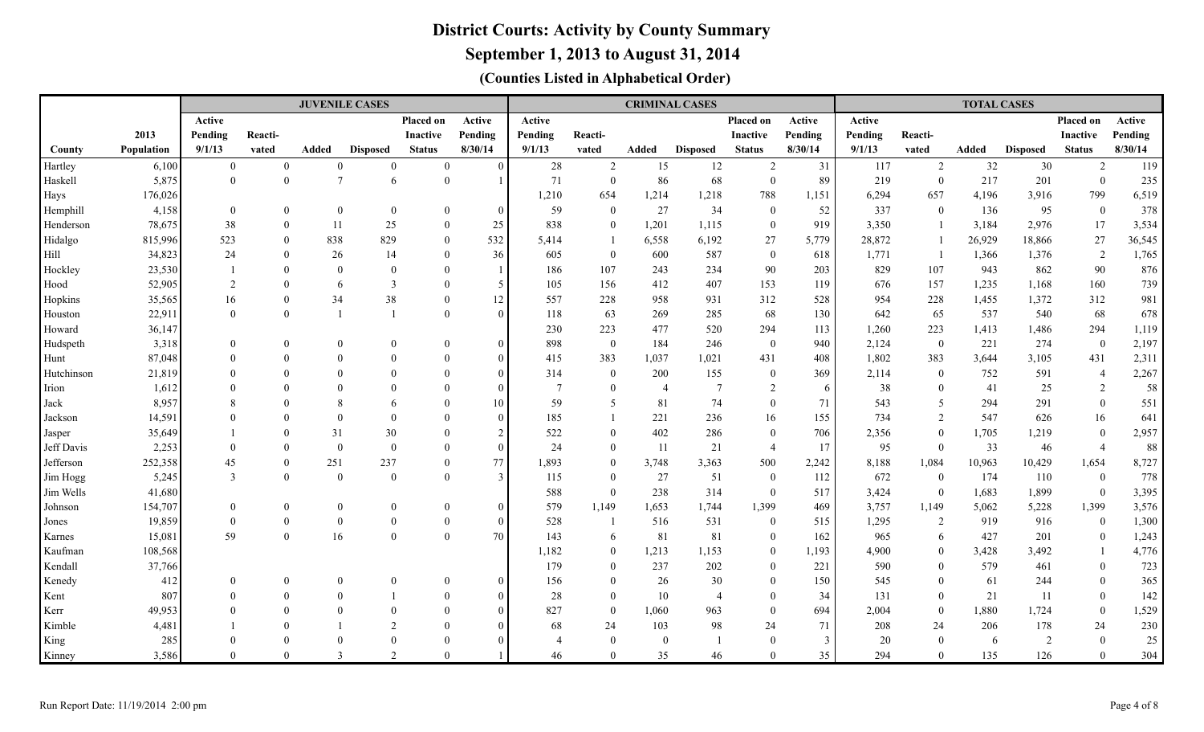**September 1, 2013 to August 31, 2014**

|                |                 |                            |                          | <b>JUVENILE CASES</b>    |                  |                          |                      |                 |                                  |                | <b>CRIMINAL CASES</b> |                            |              |            |                                  | <b>TOTAL CASES</b> |                 |                      |              |
|----------------|-----------------|----------------------------|--------------------------|--------------------------|------------------|--------------------------|----------------------|-----------------|----------------------------------|----------------|-----------------------|----------------------------|--------------|------------|----------------------------------|--------------------|-----------------|----------------------|--------------|
|                |                 | Active                     |                          |                          |                  | <b>Placed on</b>         | Active               | <b>Active</b>   |                                  |                |                       | Placed on                  | Active       | Active     |                                  |                    |                 | Placed on            | Active       |
|                | 2013            | Pending                    | Reacti-                  |                          |                  | Inactive                 | Pending              | Pending         | Reacti-                          |                |                       | <b>Inactive</b>            | Pending      | Pending    | Reacti-                          |                    |                 | <b>Inactive</b>      | Pending      |
| County         | Population      | 9/1/13                     | vated                    | Added                    | <b>Disposed</b>  | <b>Status</b>            | 8/30/14              | 9/1/13          | vated                            | Added          | <b>Disposed</b>       | <b>Status</b>              | 8/30/14      | 9/1/13     | vated                            | Added              | <b>Disposed</b> | <b>Status</b>        | 8/30/14      |
| Hartley        | 6,100           | $\overline{0}$             | $\mathbf{0}$             | $\mathbf{0}$             | $\mathbf{0}$     | $\overline{0}$           | $\theta$             | 28              | $\overline{2}$                   | 15             | 12                    | $\overline{2}$             | 31           | 117        | $\overline{2}$                   | 32                 | 30              | 2                    | 119          |
| Haskell        | 5,875           | $\overline{0}$             | $\mathbf{0}$             | $\overline{7}$           | 6                | $\overline{0}$           |                      | 71              | $\overline{0}$                   | 86             | 68                    | $\overline{0}$             | 89           | 219        | $\mathbf{0}$                     | 217                | 201             | $\overline{0}$       | 235          |
| Hays           | 176,026         |                            |                          |                          |                  |                          |                      | 1,210           | 654                              | 1,214          | 1,218                 | 788                        | 1,151        | 6,294      | 657                              | 4,196              | 3,916           | 799                  | 6,519        |
| Hemphill       | 4,158           | $\overline{0}$             | $\mathbf{0}$             | $\mathbf{0}$             | $\mathbf{0}$     | $\overline{0}$           | $\theta$             | 59              | $\bf{0}$                         | 27             | 34                    | $\theta$                   | 52           | 337        | $\overline{0}$                   | 136                | 95              | $\overline{0}$       | 378          |
| Henderson      | 78,675          | 38                         | $\theta$                 | 11                       | 25               | $\theta$                 | 25                   | 838             | $\overline{0}$                   | 1,201          | 1,115                 | $\theta$                   | 919          | 3,350      |                                  | 3,184              | 2,976           | 17                   | 3,534        |
| Hidalgo        | 815,996         | 523                        | $\theta$                 | 838                      | 829              | $\overline{0}$           | 532                  | 5,414           | -1                               | 6,558          | 6,192                 | 27                         | 5,779        | 28,872     |                                  | 26,929             | 18,866          | 27                   | 36,545       |
| Hill           | 34,823          | 24                         | $\Omega$                 | 26                       | 14               | $\theta$                 | 36                   | 605             | $\mathbf{0}$                     | 600            | 587                   | $\overline{0}$             | 618          | 1,771      |                                  | 1,366              | 1,376           | 2                    | 1,765        |
| Hockley        | 23,530          |                            | $\Omega$                 | $\mathbf{0}$             | $\mathbf{0}$     | $\theta$                 |                      | 186             | 107                              | 243            | 234                   | 90                         | 203          | 829        | 107                              | 943                | 862             | 90                   | 876          |
| Hood           | 52,905          | 2                          | $\Omega$                 | 6                        | 3                | $\overline{0}$           | 5                    | 105             | 156                              | 412            | 407                   | 153                        | 119          | 676        | 157                              | 1,235              | 1,168           | 160                  | 739          |
| Hopkins        | 35,565          | 16                         | $\mathbf{0}$             | 34                       | 38               | $\theta$                 | 12                   | 557             | 228                              | 958            | 931                   | 312                        | 528          | 954        | 228                              | 1,455              | 1,372           | 312                  | 981          |
| Houston        | 22,911          | $\theta$                   | $\theta$                 |                          |                  | $\overline{0}$           | $\Omega$             | 118             | 63                               | 269            | 285                   | 68                         | 130          | 642        | 65                               | 537                | 540             | 68                   | 678          |
| Howard         | 36,147          |                            |                          |                          |                  |                          |                      | 230             | 223                              | 477            | 520                   | 294                        | 113          | 1,260      | 223                              | 1,413              | 1,486           | 294                  | 1,119        |
| Hudspeth       | 3,318           | $\overline{0}$             | $\mathbf{0}$             | $\boldsymbol{0}$         | $\theta$         | $\mathbf{0}$             | $\Omega$             | 898             | $\boldsymbol{0}$                 | 184            | 246                   | $\mathbf{0}$               | 940          | 2,124      | $\boldsymbol{0}$                 | 221                | 274             | $\mathbf{0}$         | 2,197        |
| Hunt           | 87,048          | $\Omega$                   | $\Omega$                 | $\theta$                 | $\Omega$         | $\Omega$                 | $\Omega$             | 415             | 383                              | 1,037          | 1,021                 | 431                        | 408          | 1,802      | 383                              | 3,644              | 3,105           | 431                  | 2,311        |
| Hutchinson     | 21,819          | $\Omega$                   | $\Omega$                 | $\Omega$                 | $\Omega$         | $\Omega$                 | $\Omega$             | 314             | $\mathbf{0}$                     | 200            | 155                   | $\mathbf{0}$               | 369          | 2,114      | $\overline{0}$                   | 752                | 591             | $\overline{4}$       | 2,267        |
| Irion          | 1,612           | $\Omega$                   | $\Omega$                 | $\Omega$                 | $\Omega$         | $\Omega$                 | $\Omega$             | $7\phantom{.0}$ | $\overline{0}$                   | $\overline{4}$ | $\tau$                | 2                          | 6            | 38         | $\mathbf{0}$                     | 41                 | 25              | 2                    | 58           |
| Jack           | 8,957           | 8                          | $\Omega$                 | 8                        | 6                | $\Omega$                 | 10                   | 59              | 5                                | 81             | 74                    | $\theta$                   | 71           | 543        | 5                                | 294                | 291             | $\overline{0}$       | 551          |
| Jackson        | 14,591          | $\Omega$                   | $\Omega$                 | $\Omega$                 | $\Omega$         | $\Omega$                 | $\Omega$             | 185             | $\mathbf{1}$                     | 221            | 236                   | 16                         | 155          | 734        | 2                                | 547                | 626             | 16                   | 641          |
| Jasper         | 35,649          |                            | $\Omega$                 | 31                       | 30               | $\Omega$                 | $\overline{2}$       | 522             | $\theta$                         | 402            | 286                   | $\theta$                   | 706          | 2,356      | $\overline{0}$                   | 1,705              | 1,219           | $\mathbf{0}$         | 2,957        |
| Jeff Davis     | 2,253           | $\overline{0}$             | $\theta$                 | $\mathbf{0}$             | $\boldsymbol{0}$ | $\overline{0}$           | $\mathbf{0}$         | 24              | $\mathbf{0}$                     | -11            | 21                    | $\overline{4}$             | 17           | 95         | $\overline{0}$                   | 33                 | 46              | $\overline{4}$       | $88\,$       |
| Jefferson      | 252,358         | 45                         | $\mathbf{0}$             | 251                      | 237              | $\overline{0}$           | 77                   | 1,893           | $\mathbf{0}$                     | 3,748          | 3,363                 | 500                        | 2,242        | 8,188      | 1,084                            | 10,963             | 10,429          | 1,654                | 8,727        |
| Jim Hogg       | 5,245           | $\mathfrak{Z}$             | $\mathbf{0}$             | $\mathbf{0}$             | $\mathbf{0}$     | $\theta$                 | 3                    | 115             | $\mathbf{0}$                     | 27             | 51                    | $\overline{0}$             | 112          | 672        | $\mathbf{0}$                     | 174                | 110             | $\bf{0}$             | 778          |
| Jim Wells      | 41,680          |                            |                          |                          |                  |                          |                      | 588             | $\overline{0}$                   | 238            | 314                   | $\overline{0}$             | 517          | 3,424      | $\overline{0}$                   | 1,683              | 1,899           | $\overline{0}$       | 3,395        |
| Johnson        | 154,707         | $\overline{0}$             | $\mathbf{0}$             | $\mathbf{0}$             | $\bf{0}$         | $\overline{0}$           | $\mathbf{0}$         | 579             | 1,149                            | 1,653          | 1,744                 | 1,399                      | 469          | 3,757      | 1,149                            | 5,062              | 5,228           | 1,399                | 3,576        |
| Jones          | 19,859          | $\theta$                   | $\boldsymbol{0}$         | $\mathbf{0}$             | $\mathbf{0}$     | $\theta$                 | $\theta$             | 528             | $\overline{1}$                   | 516            | 531                   | $\overline{0}$             | 515          | 1,295      | 2                                | 919                | 916             | $\overline{0}$       | 1,300        |
| Karnes         | 15,081          | 59                         | $\mathbf{0}$             | 16                       | $\mathbf{0}$     | $\Omega$                 | 70                   | 143             | 6                                | 81             | 81                    | $\overline{0}$             | 162          | 965        | 6                                | 427                | 201             | $\overline{0}$       | 1,243        |
| Kaufman        | 108,568         |                            |                          |                          |                  |                          |                      | 1,182           | $\bf{0}$                         | 1,213          | 1,153                 | $\mathbf{0}$               | 1,193        | 4,900      | $\mathbf{0}$                     | 3,428              | 3,492           |                      | 4,776        |
| Kendall        | 37,766          |                            |                          |                          |                  |                          |                      | 179             | $\mathbf{0}$                     | 237            | 202                   | $\boldsymbol{0}$           | 221          | 590<br>545 | $\mathbf{0}$                     | 579                | 461             | $\overline{0}$       | 723          |
| Kenedy         | 412             | $\overline{0}$<br>$\Omega$ | $\mathbf{0}$<br>$\Omega$ | $\mathbf{0}$<br>$\Omega$ | $\Omega$         | $\mathbf{0}$<br>$\Omega$ | $\Omega$             | 156             | $\overline{0}$                   | 26             | 30                    | $\mathbf{0}$               | 150          | 131        | $\mathbf{0}$                     | 61                 | 244             | $\overline{0}$       | 365<br>142   |
| Kent           | 807             |                            | $\Omega$                 | $\Omega$                 | $\Omega$         | $\Omega$                 | $\Omega$<br>$\Omega$ | 28<br>827       | $\overline{0}$<br>$\overline{0}$ | 10<br>1,060    | $\overline{4}$        | $\overline{0}$<br>$\theta$ | 34<br>694    | 2,004      | $\overline{0}$<br>$\overline{0}$ | 21<br>1,880        | 11              | $\mathbf{0}$         |              |
| Kerr<br>Kimble | 49,953<br>4,481 |                            | $\Omega$                 |                          | $\mathcal{L}$    | $\Omega$                 | $\Omega$             | 68              | 24                               | 103            | 963<br>98             | 24                         | 71           | 208        | 24                               | 206                | 1,724<br>178    | $\overline{0}$<br>24 | 1,529<br>230 |
|                | 285             |                            | $\Omega$                 |                          | $\Omega$         | $\Omega$                 |                      | $\overline{4}$  | $\overline{0}$                   | $\overline{0}$ | $\overline{1}$        | $\theta$                   | $\mathbf{3}$ | 20         | $\overline{0}$                   | 6                  | 2               | $\overline{0}$       | $25\,$       |
| King<br>Kinney | 3,586           | $\Omega$                   | $\Omega$                 | 3                        | $\mathfrak{D}$   | $\Omega$                 |                      | 46              | $\theta$                         | 35             | 46                    | $\Omega$                   | 35           | 294        | $\Omega$                         | 135                | 126             | $\theta$             | 304          |
|                |                 |                            |                          |                          |                  |                          |                      |                 |                                  |                |                       |                            |              |            |                                  |                    |                 |                      |              |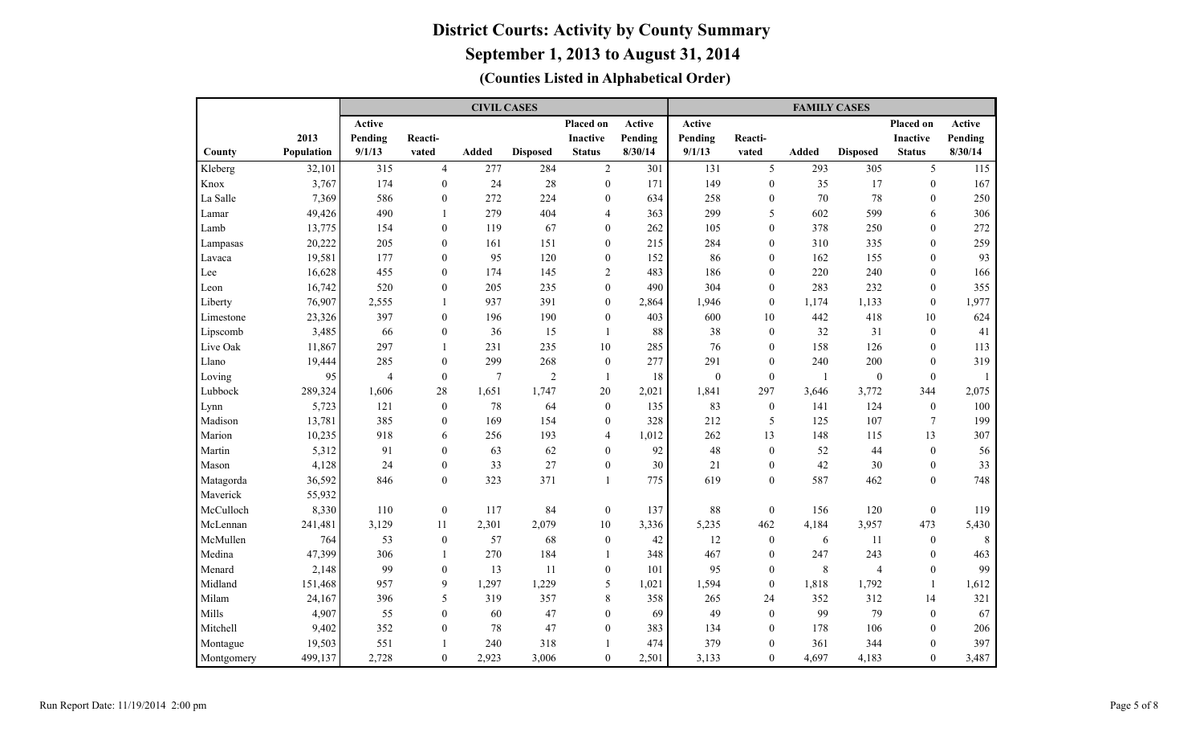|            |            |                |                  | <b>CIVIL CASES</b> |                 |                  |         |              |                  | <b>FAMILY CASES</b> |                 |                  |         |
|------------|------------|----------------|------------------|--------------------|-----------------|------------------|---------|--------------|------------------|---------------------|-----------------|------------------|---------|
|            |            | Active         |                  |                    |                 | Placed on        | Active  | Active       |                  |                     |                 | Placed on        | Active  |
|            | 2013       | Pending        | Reacti-          |                    |                 | <b>Inactive</b>  | Pending | Pending      | Reacti-          |                     |                 | <b>Inactive</b>  | Pending |
| County     | Population | 9/1/13         | vated            | Added              | <b>Disposed</b> | <b>Status</b>    | 8/30/14 | 9/1/13       | vated            | <b>Added</b>        | <b>Disposed</b> | <b>Status</b>    | 8/30/14 |
| Kleberg    | 32,101     | 315            | $\overline{4}$   | 277                | 284             | $\overline{2}$   | 301     | 131          | 5                | 293                 | 305             | 5                | 115     |
| Knox       | 3,767      | 174            | $\overline{0}$   | 24                 | 28              | $\boldsymbol{0}$ | 171     | 149          | $\mathbf{0}$     | 35                  | 17              | $\mathbf{0}$     | 167     |
| La Salle   | 7,369      | 586            | $\overline{0}$   | 272                | 224             | $\mathbf{0}$     | 634     | 258          | $\mathbf{0}$     | 70                  | 78              | $\mathbf{0}$     | 250     |
| Lamar      | 49,426     | 490            | $\mathbf{1}$     | 279                | 404             | $\overline{4}$   | 363     | 299          | 5                | 602                 | 599             | 6                | 306     |
| Lamb       | 13,775     | 154            | $\theta$         | 119                | 67              | $\mathbf{0}$     | 262     | 105          | $\theta$         | 378                 | 250             | $\theta$         | 272     |
| Lampasas   | 20,222     | 205            | $\mathbf{0}$     | 161                | 151             | $\mathbf{0}$     | 215     | 284          | $\theta$         | 310                 | 335             | $\theta$         | 259     |
| Lavaca     | 19,581     | 177            | $\mathbf{0}$     | 95                 | 120             | $\boldsymbol{0}$ | 152     | 86           | $\mathbf{0}$     | 162                 | 155             | $\theta$         | 93      |
| Lee        | 16,628     | 455            | $\mathbf{0}$     | 174                | 145             | $\overline{2}$   | 483     | 186          | $\mathbf{0}$     | 220                 | 240             | $\mathbf{0}$     | 166     |
| Leon       | 16,742     | 520            | $\mathbf{0}$     | 205                | 235             | $\boldsymbol{0}$ | 490     | 304          | $\mathbf{0}$     | 283                 | 232             | $\mathbf{0}$     | 355     |
| Liberty    | 76,907     | 2,555          | 1                | 937                | 391             | $\boldsymbol{0}$ | 2,864   | 1,946        | $\theta$         | 1,174               | 1,133           | $\mathbf{0}$     | 1,977   |
| Limestone  | 23,326     | 397            | $\overline{0}$   | 196                | 190             | $\boldsymbol{0}$ | 403     | 600          | 10               | 442                 | 418             | 10               | 624     |
| Lipscomb   | 3,485      | 66             | $\overline{0}$   | 36                 | 15              | $\mathbf{1}$     | 88      | 38           | $\mathbf{0}$     | 32                  | 31              | $\mathbf{0}$     | 41      |
| Live Oak   | 11,867     | 297            | $\mathbf{1}$     | 231                | 235             | 10               | 285     | 76           | $\mathbf{0}$     | 158                 | 126             | $\mathbf{0}$     | 113     |
| Llano      | 19,444     | 285            | $\theta$         | 299                | 268             | $\boldsymbol{0}$ | 277     | 291          | $\theta$         | 240                 | 200             | $\theta$         | 319     |
| Loving     | 95         | $\overline{4}$ | $\theta$         | $\overline{7}$     | $\overline{2}$  | -1               | 18      | $\mathbf{0}$ | $\theta$         | -1                  | $\mathbf{0}$    | $\theta$         |         |
| Lubbock    | 289,324    | 1,606          | 28               | 1,651              | 1,747           | 20               | 2,021   | 1,841        | 297              | 3,646               | 3,772           | 344              | 2,075   |
| Lynn       | 5,723      | 121            | $\mathbf{0}$     | 78                 | 64              | $\mathbf{0}$     | 135     | 83           | $\mathbf{0}$     | 141                 | 124             | $\overline{0}$   | 100     |
| Madison    | 13,781     | 385            | $\theta$         | 169                | 154             | $\mathbf{0}$     | 328     | 212          | 5                | 125                 | 107             | $\overline{7}$   | 199     |
| Marion     | 10,235     | 918            | 6                | 256                | 193             | $\overline{4}$   | 1,012   | 262          | 13               | 148                 | 115             | 13               | 307     |
| Martin     | 5,312      | 91             | $\theta$         | 63                 | 62              | $\mathbf{0}$     | 92      | 48           | $\mathbf{0}$     | 52                  | 44              | $\mathbf{0}$     | 56      |
| Mason      | 4,128      | 24             | $\theta$         | 33                 | 27              | $\mathbf{0}$     | 30      | 21           | $\theta$         | 42                  | 30              | $\theta$         | 33      |
| Matagorda  | 36,592     | 846            | $\overline{0}$   | 323                | 371             | $\mathbf{1}$     | 775     | 619          | $\theta$         | 587                 | 462             | $\theta$         | 748     |
| Maverick   | 55,932     |                |                  |                    |                 |                  |         |              |                  |                     |                 |                  |         |
| McCulloch  | 8,330      | 110            | $\boldsymbol{0}$ | 117                | 84              | $\boldsymbol{0}$ | 137     | 88           | $\boldsymbol{0}$ | 156                 | 120             | $\boldsymbol{0}$ | 119     |
| McLennan   | 241,481    | 3,129          | 11               | 2,301              | 2,079           | $10\,$           | 3,336   | 5,235        | 462              | 4,184               | 3,957           | 473              | 5,430   |
| McMullen   | 764        | 53             | $\boldsymbol{0}$ | 57                 | 68              | $\boldsymbol{0}$ | 42      | 12           | $\boldsymbol{0}$ | 6                   | 11              | $\bf{0}$         | 8       |
| Medina     | 47,399     | 306            | $\mathbf{1}$     | 270                | 184             | 1                | 348     | 467          | $\boldsymbol{0}$ | 247                 | 243             | $\boldsymbol{0}$ | 463     |
| Menard     | 2,148      | 99             | $\boldsymbol{0}$ | 13                 | 11              | $\boldsymbol{0}$ | 101     | 95           | $\mathbf{0}$     | $\,8\,$             | 4               | $\boldsymbol{0}$ | 99      |
| Midland    | 151,468    | 957            | 9                | 1,297              | 1,229           | $\mathfrak s$    | 1,021   | 1,594        | $\boldsymbol{0}$ | 1,818               | 1,792           | $\mathbf{1}$     | 1,612   |
| Milam      | 24,167     | 396            | 5                | 319                | 357             | 8                | 358     | 265          | 24               | 352                 | 312             | 14               | 321     |
| Mills      | 4,907      | 55             | $\mathbf{0}$     | 60                 | 47              | $\boldsymbol{0}$ | 69      | 49           | $\mathbf{0}$     | 99                  | 79              | $\mathbf{0}$     | 67      |
| Mitchell   | 9,402      | 352            | $\mathbf{0}$     | 78                 | 47              | $\boldsymbol{0}$ | 383     | 134          | $\mathbf{0}$     | 178                 | 106             | $\mathbf{0}$     | 206     |
| Montague   | 19,503     | 551            | 1                | 240                | 318             | $\mathbf{1}$     | 474     | 379          | $\mathbf{0}$     | 361                 | 344             | $\mathbf{0}$     | 397     |
| Montgomery | 499,137    | 2,728          | $\overline{0}$   | 2,923              | 3,006           | $\boldsymbol{0}$ | 2,501   | 3,133        | $\mathbf{0}$     | 4,697               | 4,183           | $\mathbf{0}$     | 3,487   |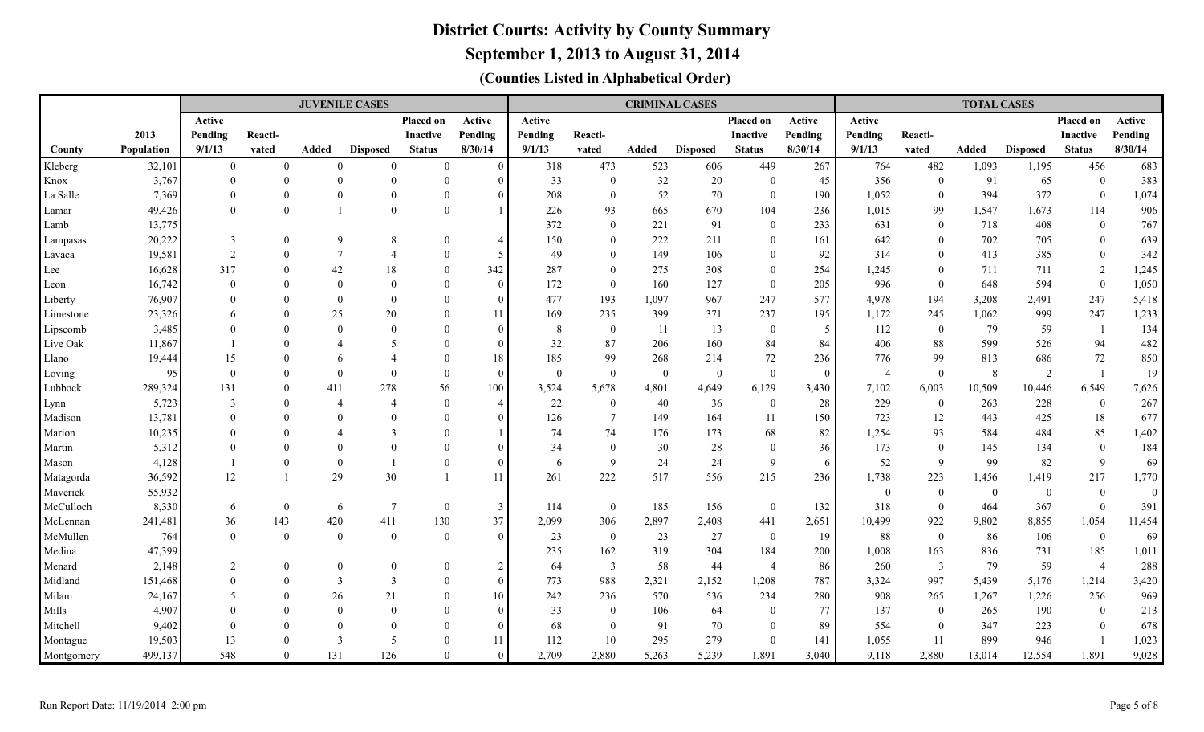**September 1, 2013 to August 31, 2014**

|            |            |                |                  | <b>JUVENILE CASES</b>    |                 |                 |                |               |                         |          | <b>CRIMINAL CASES</b> |                  |                |                |                         | <b>TOTAL CASES</b> |                 |                  |                  |
|------------|------------|----------------|------------------|--------------------------|-----------------|-----------------|----------------|---------------|-------------------------|----------|-----------------------|------------------|----------------|----------------|-------------------------|--------------------|-----------------|------------------|------------------|
|            |            | Active         |                  |                          |                 | Placed on       | Active         | <b>Active</b> |                         |          |                       | Placed on        | Active         | Active         |                         |                    |                 | Placed on        | Active           |
|            | 2013       | Pending        | Reacti-          |                          |                 | <b>Inactive</b> | Pending        | Pending       | Reacti-                 |          |                       | <b>Inactive</b>  | Pending        | Pending        | Reacti-                 |                    |                 | <b>Inactive</b>  | Pending          |
| County     | Population | 9/1/13         | vated            | Added                    | <b>Disposed</b> | <b>Status</b>   | 8/30/14        | 9/1/13        | vated                   | Added    | <b>Disposed</b>       | <b>Status</b>    | 8/30/14        | 9/1/13         | vated                   | Added              | <b>Disposed</b> | <b>Status</b>    | 8/30/14          |
| Kleberg    | 32,101     | $\overline{0}$ | $\mathbf{0}$     | $\Omega$                 | $\Omega$        | $\mathbf{0}$    | $\Omega$       | 318           | 473                     | 523      | 606                   | 449              | 267            | 764            | 482                     | 1,093              | 1,195           | 456              | 683              |
| Knox       | 3,767      | $\theta$       | $\overline{0}$   | $\theta$                 | $\Omega$        | $\theta$        | C              | 33            | $\boldsymbol{0}$        | 32       | 20                    | $\overline{0}$   | 45             | 356            | $\theta$                | 91                 | 65              | $\mathbf{0}$     | 383              |
| La Salle   | 7,369      |                | $\overline{0}$   | $\Omega$                 | $\Omega$        | $\Omega$        | 0              | 208           | $\mathbf{0}$            | 52       | 70                    | $\overline{0}$   | 190            | 1,052          | $\theta$                | 394                | 372             | $\boldsymbol{0}$ | 1,074            |
| Lamar      | 49,426     | $\Omega$       | $\overline{0}$   |                          | $\Omega$        | $\Omega$        |                | 226           | 93                      | 665      | 670                   | 104              | 236            | 1,015          | 99                      | 1,547              | 1,673           | 114              | 906              |
| Lamb       | 13,775     |                |                  |                          |                 |                 |                | 372           | $\overline{0}$          | 221      | 91                    | $\theta$         | 233            | 631            | $\overline{0}$          | 718                | 408             | $\mathbf{0}$     | 767              |
| Lampasas   | 20,222     | 3              | $\overline{0}$   | 9                        | 8               | $\Omega$        | $\overline{4}$ | 150           | $\overline{0}$          | 222      | 211                   | $\theta$         | 161            | 642            | $\theta$                | 702                | 705             | $\mathbf{0}$     | 639              |
| Lavaca     | 19,581     | 2              | $\overline{0}$   | $\tau$                   | $\overline{4}$  | $\Omega$        | -5             | 49            | $\mathbf{0}$            | 149      | 106                   | $\theta$         | 92             | 314            | $\Omega$                | 413                | 385             | $\overline{0}$   | 342              |
| Lee        | 16,628     | 317            | $\theta$         | 42                       | 18              | $\theta$        | 342            | 287           | $\overline{0}$          | 275      | 308                   | $\theta$         | 254            | 1,245          | $\Omega$                | 711                | 711             | 2                | 1,245            |
| Leon       | 16,742     | $\Omega$       |                  | $\Omega$                 | $\Omega$        | $\Omega$        | $\theta$       | 172           | $\overline{0}$          | 160      | 127                   | $\overline{0}$   | 205            | 996            | $\overline{0}$          | 648                | 594             | $\overline{0}$   | 1,050            |
| Liberty    | 76,907     |                |                  | $\Omega$                 | $\Omega$        | $\Omega$        | $\Omega$       | 477           | 193                     | 1,097    | 967                   | 247              | 577            | 4,978          | 194                     | 3,208              | 2,491           | 247              | 5,418            |
| Limestone  | 23,326     |                |                  | 25                       | 20              |                 | 11             | 169           | 235                     | 399      | 371                   | 237              | 195            | 1,172          | 245                     | 1,062              | 999             | 247              | 1,233            |
| Lipscomb   | 3,485      |                |                  | $\Omega$                 | $\Omega$        | $\Omega$        | $\Omega$       | 8             | $\mathbf{0}$            | 11       | 13                    | $\boldsymbol{0}$ | 5              | 112            | $\boldsymbol{0}$        | 79                 | 59              | $\overline{1}$   | 134              |
| Live Oak   | 11,867     |                | $\Omega$         | $\boldsymbol{\varDelta}$ | 5               | $\Omega$        | $\Omega$       | 32            | 87                      | 206      | 160                   | 84               | 84             | 406            | 88                      | 599                | 526             | 94               | 482              |
| Llano      | 19,444     | 15             | $\theta$         | 6                        |                 | $\Omega$        | 18             | 185           | 99                      | 268      | 214                   | $72\,$           | 236            | 776            | 99                      | 813                | 686             | 72               | 850              |
| Loving     | 95         | $\Omega$       | $\Omega$         | $\Omega$                 | $\Omega$        | $\Omega$        | $\overline{0}$ | $\theta$      | $\boldsymbol{0}$        | $\bf{0}$ | $\mathbf{0}$          | $\overline{0}$   | $\overline{0}$ | $\overline{4}$ | $\theta$                | 8                  | 2               | $\overline{1}$   | 19               |
| Lubbock    | 289,324    | 131            | $\Omega$         | 411                      | 278             | 56              | 100            | 3,524         | 5,678                   | 4,801    | 4,649                 | 6,129            | 3,430          | 7,102          | 6,003                   | 10,509             | 10,446          | 6,549            | 7,626            |
| Lynn       | 5,723      | 3              | $\Omega$         | $\overline{4}$           | $\overline{4}$  | $\Omega$        | $\overline{4}$ | 22            | $\boldsymbol{0}$        | 40       | 36                    | $\overline{0}$   | 28             | 229            | $\mathbf{0}$            | 263                | 228             | $\bf{0}$         | 267              |
| Madison    | 13,781     |                | $\Omega$         | $\Omega$                 |                 | $\Omega$        | $\Omega$       | 126           | $\overline{7}$          | 149      | 164                   | 11               | 150            | 723            | 12                      | 443                | 425             | 18               | 677              |
| Marion     | 10,235     |                | $\Omega$         | $\boldsymbol{\varDelta}$ | $\mathcal{R}$   | $\Omega$        |                | 74            | 74                      | 176      | 173                   | 68               | 82             | 1,254          | 93                      | 584                | 484             | 85               | 1,402            |
| Martin     | 5,312      |                | $\Omega$         | $\Omega$                 | $\Omega$        | $\Omega$        |                | 34            | $\mathbf{0}$            | 30       | 28                    | $\theta$         | 36             | 173            | $\overline{0}$          | 145                | 134             | $\bf{0}$         | 184              |
| Mason      | 4,128      |                | $\overline{0}$   | $\Omega$                 |                 | $\Omega$        | $\sqrt{ }$     | 6             | $\overline{9}$          | 24       | 24                    | 9                | 6              | 52             | $\mathbf Q$             | 99                 | 82              | 9                | 69               |
| Matagorda  | 36,592     | 12             | $\overline{1}$   | 29                       | 30              |                 | 11             | 261           | 222                     | 517      | 556                   | 215              | 236            | 1,738          | 223                     | 1,456              | 1,419           | 217              | 1,770            |
| Maverick   | 55,932     |                |                  |                          |                 |                 |                |               |                         |          |                       |                  |                | $\bf{0}$       | $\mathbf{0}$            | $\mathbf{0}$       | $\mathbf{0}$    | $\boldsymbol{0}$ | $\boldsymbol{0}$ |
| McCulloch  | 8,330      | 6              | $\boldsymbol{0}$ | 6                        | $7\phantom{.0}$ | $\bf{0}$        | $\overline{3}$ | 114           | $\boldsymbol{0}$        | 185      | 156                   | $\overline{0}$   | 132            | 318            | $\overline{0}$          | 464                | 367             | $\bf{0}$         | 391              |
| McLennan   | 241,481    | 36             | 143              | 420                      | 411             | 130             | 37             | 2,099         | 306                     | 2,897    | 2,408                 | 441              | 2,651          | 10,499         | 922                     | 9,802              | 8,855           | 1,054            | 11,454           |
| McMullen   | 764        | $\overline{0}$ | $\mathbf{0}$     | $\mathbf{0}$             | $\overline{0}$  | $\mathbf{0}$    | $\Omega$       | 23            | $\bf{0}$                | 23       | 27                    | $\mathbf{0}$     | 19             | 88             | $\theta$                | 86                 | 106             | $\boldsymbol{0}$ | 69               |
| Medina     | 47,399     |                |                  |                          |                 |                 |                | 235           | 162                     | 319      | 304                   | 184              | 200            | 1,008          | 163                     | 836                | 731             | 185              | 1,011            |
| Menard     | 2,148      | $\overline{2}$ | $\mathbf{0}$     | $\Omega$                 | $\Omega$        | $\theta$        | $\overline{2}$ | 64            | $\overline{\mathbf{3}}$ | 58       | 44                    | $\overline{4}$   | 86             | 260            | $\overline{\mathbf{3}}$ | 79                 | 59              | $\overline{4}$   | 288              |
| Midland    | 151,468    | $\Omega$       | $\overline{0}$   | 3                        | 3               | $\Omega$        | $\Omega$       | 773           | 988                     | 2,321    | 2,152                 | 1,208            | 787            | 3,324          | 997                     | 5,439              | 5,176           | 1,214            | 3,420            |
| Milam      | 24,167     | 5              | $\theta$         | 26                       | 21              | $\Omega$        | 10             | 242           | 236                     | 570      | 536                   | 234              | 280            | 908            | 265                     | 1,267              | 1,226           | 256              | 969              |
| Mills      | 4,907      |                | $\Omega$         | $\Omega$                 | $\Omega$        | $\Omega$        | $\sqrt{ }$     | 33            | $\overline{0}$          | 106      | 64                    | $\overline{0}$   | 77             | 137            | $\theta$                | 265                | 190             | $\mathbf{0}$     | 213              |
| Mitchell   | 9,402      |                | $\Omega$         | $\Omega$                 | $\Omega$        | $\Omega$        | $\sqrt{ }$     | 68            | $\overline{0}$          | 91       | 70                    | $\theta$         | 89             | 554            | $\theta$                | 347                | 223             | $\overline{0}$   | 678              |
| Montague   | 19,503     | 13             | $\Omega$         | 3                        | $\overline{5}$  | $\Omega$        | 11             | 112           | 10                      | 295      | 279                   | $\theta$         | 141            | 1,055          | 11                      | 899                | 946             |                  | 1,023            |
| Montgomery | 499,137    | 548            | $\theta$         | 131                      | 126             | $\Omega$        | $\Omega$       | 2,709         | 2,880                   | 5,263    | 5,239                 | 1,891            | 3,040          | 9,118          | 2,880                   | 13,014             | 12,554          | 1,891            | 9,028            |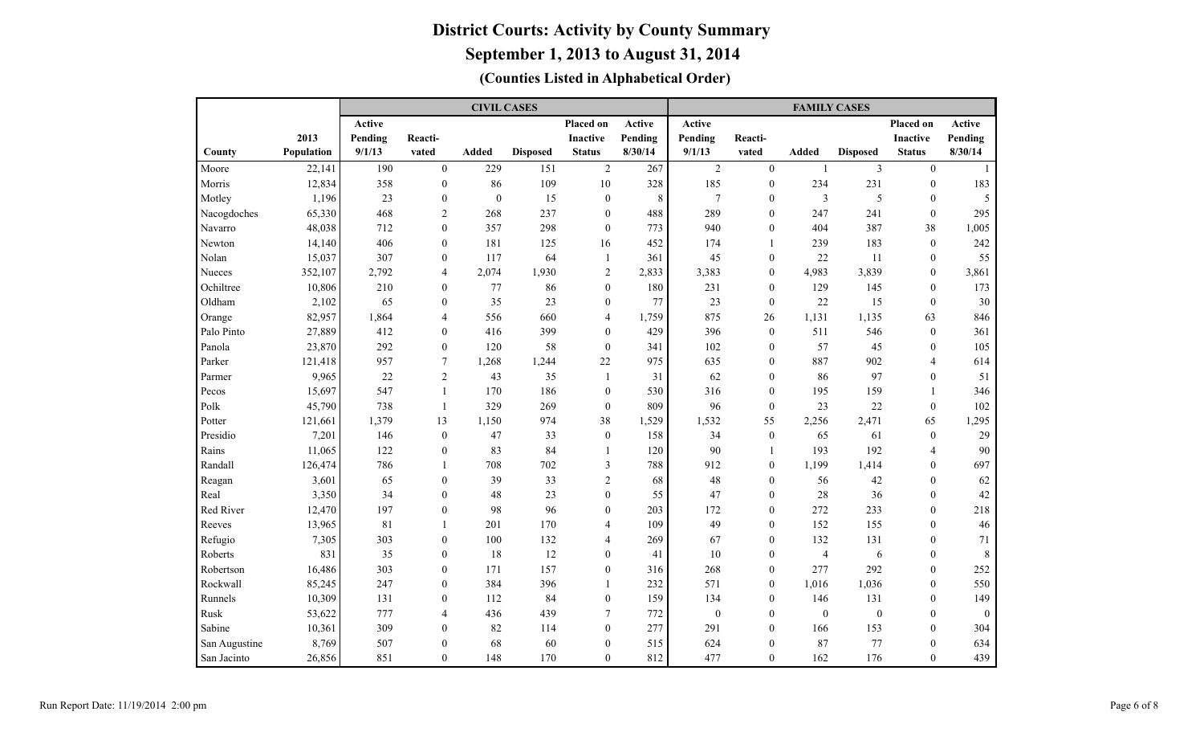|               |            |         |                  | <b>CIVIL CASES</b> |                 |                  |           |                |                  | <b>FAMILY CASES</b> |                 |                 |                |
|---------------|------------|---------|------------------|--------------------|-----------------|------------------|-----------|----------------|------------------|---------------------|-----------------|-----------------|----------------|
|               |            | Active  |                  |                    |                 | Placed on        | Active    | Active         |                  |                     |                 | Placed on       | Active         |
|               | 2013       | Pending | Reacti-          |                    |                 | <b>Inactive</b>  | Pending   | Pending        | Reacti-          |                     |                 | <b>Inactive</b> | Pending        |
| County        | Population | 9/1/13  | vated            | Added              | <b>Disposed</b> | <b>Status</b>    | 8/30/14   | 9/1/13         | vated            | Added               | <b>Disposed</b> | <b>Status</b>   | 8/30/14        |
| Moore         | 22,141     | 190     | $\theta$         | 229                | 151             | 2                | 267       | 2              | $\theta$         | $\overline{1}$      | $\overline{3}$  | $\theta$        | $\overline{1}$ |
| Morris        | 12,834     | 358     | $\mathbf{0}$     | 86                 | 109             | $10\,$           | 328       | 185            | $\mathbf{0}$     | 234                 | 231             | $\mathbf{0}$    | 183            |
| Motley        | 1,196      | 23      | $\boldsymbol{0}$ | $\boldsymbol{0}$   | 15              | $\boldsymbol{0}$ | $\,$ $\,$ | $\overline{7}$ | $\theta$         | $\mathfrak{Z}$      | 5               | $\theta$        | 5              |
| Nacogdoches   | 65,330     | 468     | $\overline{c}$   | 268                | 237             | $\boldsymbol{0}$ | 488       | 289            | $\mathbf{0}$     | 247                 | 241             | $\mathbf{0}$    | 295            |
| Navarro       | 48,038     | 712     | $\mathbf{0}$     | 357                | 298             | $\mathbf{0}$     | 773       | 940            | $\mathbf{0}$     | 404                 | 387             | 38              | 1,005          |
| Newton        | 14,140     | 406     | $\boldsymbol{0}$ | 181                | 125             | 16               | 452       | 174            | $\mathbf{1}$     | 239                 | 183             | $\overline{0}$  | 242            |
| Nolan         | 15,037     | 307     | $\boldsymbol{0}$ | 117                | 64              | -1               | 361       | 45             | $\boldsymbol{0}$ | 22                  | 11              | $\mathbf{0}$    | 55             |
| Nueces        | 352,107    | 2,792   | $\overline{4}$   | 2,074              | 1,930           | $\overline{c}$   | 2,833     | 3,383          | $\mathbf{0}$     | 4,983               | 3,839           | $\overline{0}$  | 3,861          |
| Ochiltree     | 10,806     | 210     | $\mathbf{0}$     | 77                 | 86              | $\boldsymbol{0}$ | 180       | 231            | $\mathbf{0}$     | 129                 | 145             | $\overline{0}$  | 173            |
| Oldham        | 2,102      | 65      | $\mathbf{0}$     | 35                 | 23              | $\boldsymbol{0}$ | 77        | 23             | $\mathbf{0}$     | 22                  | 15              | $\mathbf{0}$    | 30             |
| Orange        | 82,957     | 1,864   | $\overline{4}$   | 556                | 660             | 4                | 1,759     | 875            | 26               | 1,131               | 1,135           | 63              | 846            |
| Palo Pinto    | 27,889     | 412     | $\mathbf{0}$     | 416                | 399             | $\mathbf{0}$     | 429       | 396            | $\mathbf{0}$     | 511                 | 546             | $\mathbf{0}$    | 361            |
| Panola        | 23,870     | 292     | $\overline{0}$   | 120                | 58              | $\mathbf{0}$     | 341       | 102            | $\mathbf{0}$     | 57                  | 45              | $\theta$        | 105            |
| Parker        | 121,418    | 957     | $\overline{7}$   | 1,268              | 1,244           | 22               | 975       | 635            | $\theta$         | 887                 | 902             | $\overline{4}$  | 614            |
| Parmer        | 9,965      | 22      | $\overline{2}$   | 43                 | 35              | 1                | 31        | 62             | $\mathbf{0}$     | 86                  | 97              | $\theta$        | 51             |
| Pecos         | 15,697     | 547     | $\mathbf{1}$     | 170                | 186             | $\mathbf{0}$     | 530       | 316            | $\theta$         | 195                 | 159             | $\overline{1}$  | 346            |
| Polk          | 45,790     | 738     | $\mathbf{1}$     | 329                | 269             | $\mathbf{0}$     | 809       | 96             | $\mathbf{0}$     | 23                  | $22\,$          | $\mathbf{0}$    | 102            |
| Potter        | 121,661    | 1,379   | 13               | 1,150              | 974             | 38               | 1,529     | 1,532          | 55               | 2,256               | 2,471           | 65              | 1,295          |
| Presidio      | 7,201      | 146     | $\boldsymbol{0}$ | 47                 | 33              | $\boldsymbol{0}$ | 158       | 34             | $\boldsymbol{0}$ | 65                  | 61              | $\mathbf{0}$    | 29             |
| Rains         | 11,065     | 122     | $\overline{0}$   | 83                 | 84              | 1                | 120       | 90             | $\mathbf{1}$     | 193                 | 192             | $\overline{4}$  | 90             |
| Randall       | 126,474    | 786     | $\mathbf{1}$     | 708                | 702             | 3                | 788       | 912            | $\mathbf{0}$     | 1,199               | 1,414           | $\mathbf{0}$    | 697            |
| Reagan        | 3,601      | 65      | $\boldsymbol{0}$ | 39                 | 33              | $\overline{2}$   | 68        | 48             | $\mathbf{0}$     | 56                  | 42              | $\mathbf{0}$    | 62             |
| Real          | 3,350      | 34      | $\mathbf{0}$     | 48                 | 23              | $\boldsymbol{0}$ | 55        | 47             | $\mathbf{0}$     | 28                  | 36              | $\mathbf{0}$    | 42             |
| Red River     | 12,470     | 197     | $\boldsymbol{0}$ | 98                 | 96              | $\boldsymbol{0}$ | 203       | 172            | $\mathbf{0}$     | 272                 | 233             | $\mathbf{0}$    | 218            |
| Reeves        | 13,965     | 81      | 1                | 201                | 170             | 4                | 109       | 49             | $\mathbf{0}$     | 152                 | 155             | $\mathbf{0}$    | 46             |
| Refugio       | 7,305      | 303     | $\boldsymbol{0}$ | 100                | 132             | 4                | 269       | 67             | $\mathbf{0}$     | 132                 | 131             | $\mathbf{0}$    | 71             |
| Roberts       | 831        | 35      | $\overline{0}$   | 18                 | 12              | $\boldsymbol{0}$ | 41        | 10             | $\mathbf{0}$     | $\overline{4}$      | 6               | $\mathbf{0}$    | 8              |
| Robertson     | 16,486     | 303     | $\mathbf{0}$     | 171                | 157             | $\boldsymbol{0}$ | 316       | 268            | $\mathbf{0}$     | 277                 | 292             | $\mathbf{0}$    | 252            |
| Rockwall      | 85,245     | 247     | $\mathbf{0}$     | 384                | 396             | 1                | 232       | 571            | $\theta$         | 1,016               | 1,036           | $\theta$        | 550            |
| Runnels       | 10,309     | 131     | $\mathbf{0}$     | 112                | 84              | $\mathbf{0}$     | 159       | 134            | $\mathbf{0}$     | 146                 | 131             | $\theta$        | 149            |
| Rusk          | 53,622     | 777     | 4                | 436                | 439             | 7                | 772       | $\mathbf{0}$   | $\mathbf{0}$     | $\mathbf{0}$        | $\mathbf{0}$    | $\theta$        | $\mathbf{0}$   |
| Sabine        | 10,361     | 309     | $\theta$         | 82                 | 114             | $\mathbf{0}$     | 277       | 291            | $\theta$         | 166                 | 153             | $\theta$        | 304            |
| San Augustine | 8,769      | 507     | $\theta$         | 68                 | 60              | $\boldsymbol{0}$ | 515       | 624            | $\boldsymbol{0}$ | 87                  | 77              | $\theta$        | 634            |
| San Jacinto   | 26,856     | 851     | $\boldsymbol{0}$ | 148                | 170             | $\mathbf{0}$     | 812       | 477            | $\mathbf{0}$     | 162                 | 176             | $\Omega$        | 439            |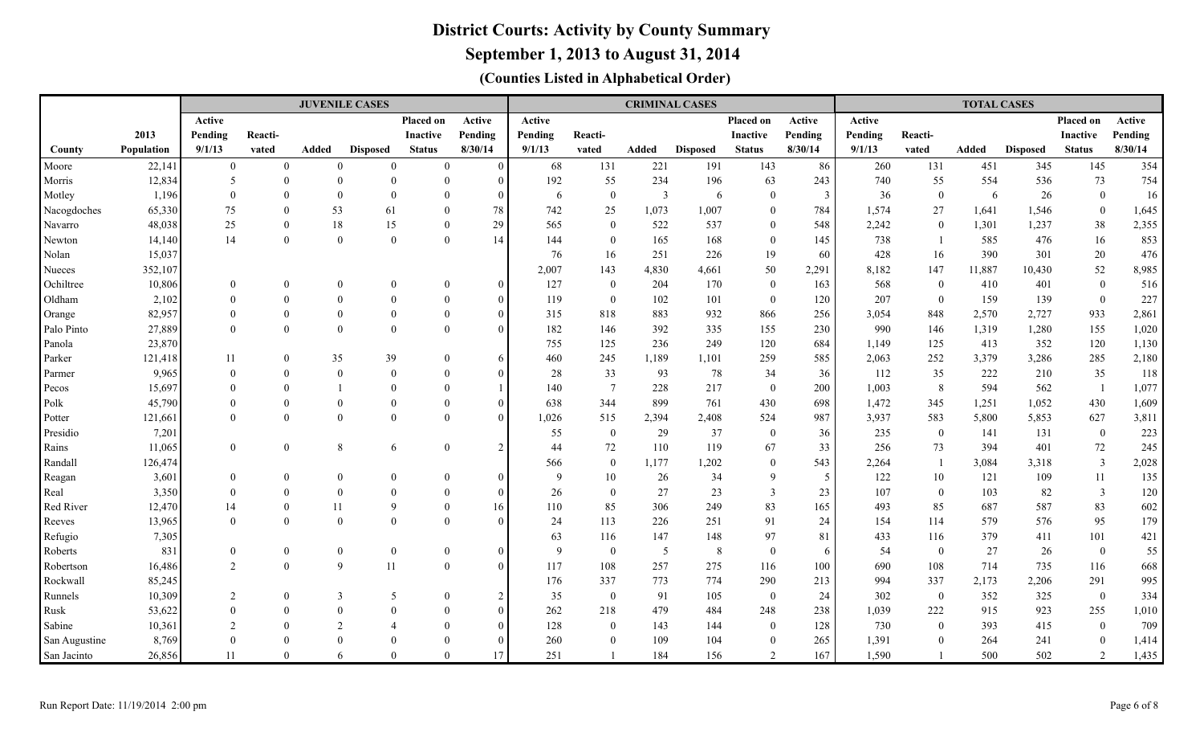**September 1, 2013 to August 31, 2014**

|                   |                  |                              |                            | <b>JUVENILE CASES</b>    |                 |                            |                                  |          |                        | <b>CRIMINAL CASES</b>   |                 |                     |         |              |                      | <b>TOTAL CASES</b> |                 |                         |              |
|-------------------|------------------|------------------------------|----------------------------|--------------------------|-----------------|----------------------------|----------------------------------|----------|------------------------|-------------------------|-----------------|---------------------|---------|--------------|----------------------|--------------------|-----------------|-------------------------|--------------|
|                   |                  | Active                       |                            |                          |                 | Placed on                  | Active                           | Active   |                        |                         |                 | Placed on           | Active  | Active       |                      |                    |                 | Placed on               | Active       |
|                   | 2013             | Pending                      | Reacti-                    |                          |                 | <b>Inactive</b>            | Pending                          | Pending  | Reacti-                |                         |                 | <b>Inactive</b>     | Pending | Pending      | Reacti-              |                    |                 | <b>Inactive</b>         | Pending      |
| County            | Population       | 9/1/13                       | vated                      | Added                    | <b>Disposed</b> | <b>Status</b>              | 8/30/14                          | 9/1/13   | vated                  | Added                   | <b>Disposed</b> | <b>Status</b>       | 8/30/14 | 9/1/13       | vated                | Added              | <b>Disposed</b> | <b>Status</b>           | 8/30/14      |
| Moore             | 22,141           | $\overline{0}$               | $\overline{0}$             | $\theta$                 | $\mathbf{0}$    | $\overline{0}$             | $\bf{0}$                         | 68       | 131                    | 221                     | 191             | 143                 | 86      | 260          | 131                  | 451                | 345             | 145                     | 354          |
| Morris            | 12,834           | 5                            | $\theta$                   | $\overline{0}$           | $\Omega$        | $\mathbf{0}$               | $\overline{0}$                   | 192      | 55                     | 234                     | 196             | 63                  | 243     | 740          | 55                   | 554                | 536             | 73                      | 754          |
| Motley            | 1,196            | $\Omega$                     | $\Omega$                   | $\overline{0}$           | $\Omega$        | $\theta$                   | $\overline{0}$                   | 6        | $\boldsymbol{0}$       | $\overline{\mathbf{3}}$ | 6               | $\overline{0}$      | 3       | 36           | $\overline{0}$       | 6                  | 26              | $\mathbf{0}$            | 16           |
| Nacogdoches       | 65,330           | 75                           | $\Omega$                   | 53                       | 61              | $\theta$                   | 78                               | 742      | 25                     | 1,073                   | 1,007           | $\theta$            | 784     | 1,574        | 27                   | 1,641              | 1,546           | $\mathbf{0}$            | 1,645        |
| Navarro           | 48,038           | 25                           | $\theta$                   | 18                       | 15              | $\theta$                   | 29                               | 565      | $\mathbf{0}$           | 522                     | 537             | $\theta$            | 548     | 2,242        | $\theta$             | 1,301              | 1,237           | 38                      | 2,355        |
| Newton            | 14,140           | 14                           | $\theta$                   | $\theta$                 | $\Omega$        | $\Omega$                   | 14                               | 144      | $\boldsymbol{0}$       | 165                     | 168             | $\theta$            | 145     | 738          |                      | 585                | 476             | 16                      | 853          |
| Nolan             | 15,037           |                              |                            |                          |                 |                            |                                  | 76       | 16                     | 251                     | 226             | 19                  | 60      | 428          | 16                   | 390                | 301             | 20                      | 476          |
| Nueces            | 352,107          |                              |                            |                          |                 |                            |                                  | 2,007    | 143                    | 4,830                   | 4,661           | 50                  | 2,291   | 8,182        | 147                  | 11,887             | 10,430          | 52                      | 8,985        |
| Ochiltree         | 10,806           | $\mathbf{0}$                 |                            | $\theta$                 | $\theta$        | $\overline{0}$             | $\bf{0}$                         | 127      | $\bf{0}$               | 204                     | 170             | $\overline{0}$      | 163     | 568          | $\mathbf{0}$         | 410                | 401             | $\mathbf{0}$            | 516          |
| Oldham            | 2,102            | $\Omega$                     | $\Omega$                   | $\Omega$                 | $\theta$        | $\theta$                   | $\bf{0}$                         | 119      | $\mathbf{0}$           | 102                     | 101             | $\overline{0}$      | 120     | 207          | $\bf{0}$             | 159                | 139             | $\boldsymbol{0}$        | 227          |
| Orange            | 82,957           | $\Omega$                     | $\theta$                   | $\theta$                 | $\theta$        | $\theta$                   | $\mathbf{0}$                     | 315      | 818                    | 883                     | 932             | 866                 | 256     | 3,054        | 848                  | 2,570              | 2,727           | 933                     | 2,861        |
| Palo Pinto        | 27,889           | $\Omega$                     | $\Omega$                   | $\theta$                 | $\Omega$        | $\theta$                   | $\theta$                         | 182      | 146                    | 392                     | 335             | 155                 | 230     | 990          | 146                  | 1,319              | 1,280           | 155                     | 1,020        |
| Panola            | 23,870           |                              |                            |                          |                 |                            |                                  | 755      | 125                    | 236                     | 249             | 120                 | 684     | 1,149        | 125                  | 413                | 352             | 120                     | 1,130        |
| Parker            | 121,418          | 11                           | $\mathbf{0}$               | 35                       | 39              | $\mathbf{0}$               | 6                                | 460      | 245                    | 1,189                   | 1,101           | 259                 | 585     | 2,063        | 252                  | 3,379              | 3,286           | 285                     | 2,180        |
| Parmer            | 9,965            | $\theta$                     | $\theta$                   | $\mathbf{0}$             | $\Omega$        | $\Omega$                   | $\overline{0}$                   | $28\,$   | 33                     | 93                      | 78              | 34                  | 36      | 112          | 35                   | 222                | 210             | 35                      | 118          |
| Pecos             | 15,697           | $\Omega$                     | $\Omega$                   |                          | $\Omega$        | $\Omega$                   | $\overline{1}$                   | 140      | $\overline{7}$         | 228                     | 217             | $\overline{0}$      | 200     | 1,003        | 8                    | 594                | 562             | $\overline{1}$          | 1,077        |
| Polk              | 45,790           | $\Omega$                     | $\Omega$                   | $\theta$                 | $\Omega$        | $\theta$                   | $\overline{0}$                   | 638      | 344                    | 899                     | 761             | 430                 | 698     | 1,472        | 345                  | 1,251              | 1,052           | 430                     | 1,609        |
| Potter            | 121,661          | $\Omega$                     | $\theta$                   | $\overline{0}$           | $\Omega$        | $\theta$                   | $\theta$                         | 1,026    | 515                    | 2,394                   | 2,408           | 524                 | 987     | 3,937        | 583                  | 5,800              | 5,853           | 627                     | 3,811        |
| Presidio          | 7,201            |                              |                            |                          |                 |                            |                                  | 55       | $\mathbf{0}$           | 29                      | 37              | $\overline{0}$      | 36      | 235          | $\overline{0}$       | 141                | 131             | $\mathbf{0}$            | 223          |
| Rains             | 11,065           | $\theta$                     | $\mathbf{0}$               | $8\,$                    | 6               | $\mathbf{0}$               | 2                                | 44       | $72\,$                 | 110                     | 119             | 67                  | 33      | 256          | 73<br>$\overline{1}$ | 394                | 401             | $72\,$                  | 245          |
| Randall           | 126,474<br>3,601 |                              |                            |                          | $\theta$        |                            |                                  | 566<br>9 | $\boldsymbol{0}$       | 1,177                   | 1,202           | $\overline{0}$<br>9 | 543     | 2,264<br>122 |                      | 3,084              | 3,318<br>109    | $\overline{\mathbf{3}}$ | 2,028<br>135 |
| Reagan            | 3,350            | $\boldsymbol{0}$<br>$\theta$ | $\overline{0}$<br>$\theta$ | $\mathbf{0}$<br>$\theta$ | $\theta$        | $\overline{0}$<br>$\theta$ | $\overline{0}$<br>$\overline{0}$ | 26       | 10<br>$\boldsymbol{0}$ | 26<br>27                | 34<br>23        | $\overline{3}$      | 5<br>23 | 107          | 10<br>$\overline{0}$ | 121<br>103         | 82              | 11<br>$\overline{3}$    | 120          |
| Real<br>Red River | 12,470           | 14                           | $\overline{0}$             | 11                       | 9               | $\theta$                   | 16                               | 110      | 85                     | 306                     | 249             | 83                  | 165     | 493          | 85                   | 687                | 587             | 83                      | 602          |
| Reeves            | 13,965           | $\Omega$                     | $\theta$                   | $\overline{0}$           | $\Omega$        | $\theta$                   | $\overline{0}$                   | 24       | 113                    | 226                     | 251             | 91                  | 24      | 154          | 114                  | 579                | 576             | 95                      | 179          |
| Refugio           | 7,305            |                              |                            |                          |                 |                            |                                  | 63       | 116                    | 147                     | 148             | 97                  | 81      | 433          | 116                  | 379                | 411             | 101                     | 421          |
| Roberts           | 831              | $\theta$                     | $\overline{0}$             | $\boldsymbol{0}$         | $\mathbf{0}$    | $\mathbf{0}$               | $\overline{0}$                   | 9        | $\bf{0}$               | $\overline{5}$          | 8               | $\overline{0}$      | 6       | 54           | $\overline{0}$       | 27                 | 26              | $\boldsymbol{0}$        | 55           |
| Robertson         | 16,486           | 2                            | $\boldsymbol{0}$           | 9                        | 11              | $\mathbf{0}$               | $\mathbf{0}$                     | 117      | 108                    | 257                     | 275             | 116                 | 100     | 690          | 108                  | 714                | 735             | 116                     | 668          |
| Rockwall          | 85,245           |                              |                            |                          |                 |                            |                                  | 176      | 337                    | 773                     | 774             | 290                 | 213     | 994          | 337                  | 2,173              | 2,206           | 291                     | 995          |
| Runnels           | 10,309           | 2                            | $\overline{0}$             | 3                        | 5               | $\theta$                   | 2                                | 35       | $\mathbf{0}$           | 91                      | 105             | $\overline{0}$      | 24      | 302          | $\overline{0}$       | 352                | 325             | $\mathbf{0}$            | 334          |
| Rusk              | 53,622           | $\Omega$                     | 0                          | $\Omega$                 | $\Omega$        | $\theta$                   | $\overline{0}$                   | 262      | 218                    | 479                     | 484             | 248                 | 238     | 1,039        | 222                  | 915                | 923             | 255                     | 1,010        |
| Sabine            | 10,361           | $\mathcal{L}$                | 0                          | $\overline{2}$           |                 | $\Omega$                   | $\overline{0}$                   | 128      | $\overline{0}$         | 143                     | 144             | $\overline{0}$      | 128     | 730          | $\overline{0}$       | 393                | 415             | $\mathbf{0}$            | 709          |
| San Augustine     | 8,769            | $\Omega$                     | $\Omega$                   | $\Omega$                 | $\Omega$        | $\Omega$                   | $\overline{0}$                   | 260      | $\mathbf{0}$           | 109                     | 104             | $\overline{0}$      | 265     | 1,391        | $\Omega$             | 264                | 241             | $\theta$                | 1,414        |
| San Jacinto       | 26,856           | 11                           | $\Omega$                   | 6                        | $\Omega$        | $\theta$                   | 17                               | 251      |                        | 184                     | 156             | $\overline{2}$      | 167     | 1,590        |                      | 500                | 502             | 2                       | 1,435        |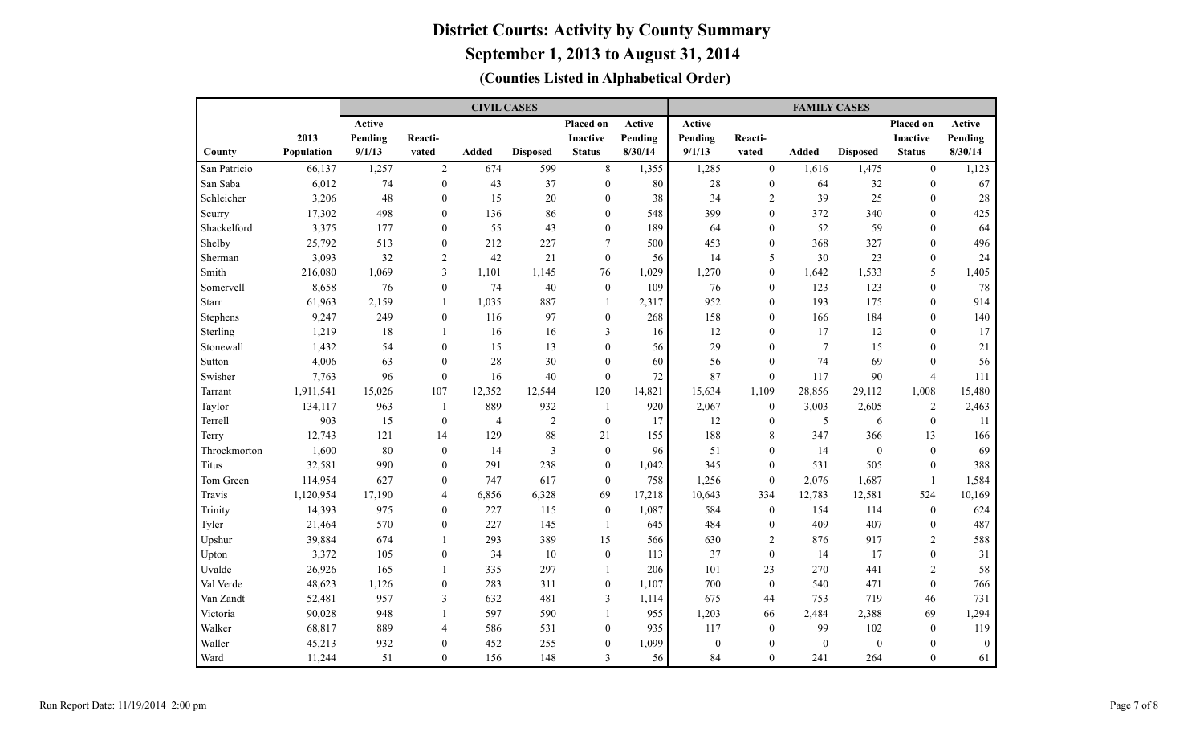|              |            |         |                  | <b>CIVIL CASES</b> |                 |                  |         | <b>FAMILY CASES</b> |                |                |                  |                  |               |  |  |  |  |
|--------------|------------|---------|------------------|--------------------|-----------------|------------------|---------|---------------------|----------------|----------------|------------------|------------------|---------------|--|--|--|--|
|              |            | Active  |                  |                    |                 | <b>Placed on</b> | Active  | <b>Active</b>       |                |                |                  | <b>Placed on</b> | <b>Active</b> |  |  |  |  |
|              | 2013       | Pending | Reacti-          |                    |                 | <b>Inactive</b>  | Pending | Pending             | Reacti-        |                |                  | <b>Inactive</b>  | Pending       |  |  |  |  |
| County       | Population | 9/1/13  | vated            | Added              | <b>Disposed</b> | <b>Status</b>    | 8/30/14 | 9/1/13              | vated          | Added          | <b>Disposed</b>  | <b>Status</b>    | 8/30/14       |  |  |  |  |
| San Patricio | 66,137     | 1,257   | $\overline{2}$   | 674                | 599             | $8\,$            | 1,355   | 1,285               | $\mathbf{0}$   | 1,616          | 1,475            | $\mathbf{0}$     | 1,123         |  |  |  |  |
| San Saba     | 6,012      | 74      | $\overline{0}$   | 43                 | 37              | $\boldsymbol{0}$ | 80      | 28                  | $\mathbf{0}$   | 64             | 32               | $\mathbf{0}$     | 67            |  |  |  |  |
| Schleicher   | 3,206      | 48      | $\theta$         | 15                 | $20\,$          | $\mathbf{0}$     | 38      | 34                  | $\overline{2}$ | 39             | 25               | $\theta$         | 28            |  |  |  |  |
| Scurry       | 17,302     | 498     | $\theta$         | 136                | 86              | $\boldsymbol{0}$ | 548     | 399                 | $\theta$       | 372            | 340              | $\theta$         | 425           |  |  |  |  |
| Shackelford  | 3,375      | 177     | $\overline{0}$   | 55                 | 43              | $\boldsymbol{0}$ | 189     | 64                  | $\mathbf{0}$   | 52             | 59               | $\mathbf{0}$     | 64            |  |  |  |  |
| Shelby       | 25,792     | 513     | $\boldsymbol{0}$ | 212                | 227             | 7                | 500     | 453                 | $\mathbf{0}$   | 368            | 327              | $\mathbf{0}$     | 496           |  |  |  |  |
| Sherman      | 3,093      | 32      | 2                | 42                 | 21              | $\boldsymbol{0}$ | 56      | 14                  | 5              | 30             | 23               | $\mathbf{0}$     | 24            |  |  |  |  |
| Smith        | 216,080    | 1,069   | 3                | 1,101              | 1,145           | 76               | 1,029   | 1,270               | $\mathbf{0}$   | 1,642          | 1,533            | 5                | 1,405         |  |  |  |  |
| Somervell    | 8,658      | 76      | $\mathbf{0}$     | 74                 | 40              | $\mathbf{0}$     | 109     | 76                  | $\mathbf{0}$   | 123            | 123              | $\mathbf{0}$     | 78            |  |  |  |  |
| <b>Starr</b> | 61,963     | 2,159   | $\mathbf{1}$     | 1,035              | 887             | $\mathbf{1}$     | 2,317   | 952                 | $\mathbf{0}$   | 193            | 175              | $\mathbf{0}$     | 914           |  |  |  |  |
| Stephens     | 9,247      | 249     | $\mathbf{0}$     | 116                | 97              | $\mathbf{0}$     | 268     | 158                 | $\mathbf{0}$   | 166            | 184              | $\mathbf{0}$     | 140           |  |  |  |  |
| Sterling     | 1,219      | 18      | $\mathbf{1}$     | 16                 | 16              | 3                | 16      | 12                  | $\mathbf{0}$   | 17             | 12               | $\theta$         | 17            |  |  |  |  |
| Stonewall    | 1,432      | 54      | $\theta$         | 15                 | 13              | $\theta$         | 56      | 29                  | $\theta$       | $\overline{7}$ | 15               | $\theta$         | 21            |  |  |  |  |
| Sutton       | 4,006      | 63      | $\theta$         | 28                 | 30              | $\mathbf{0}$     | 60      | 56                  | $\theta$       | 74             | 69               | $\theta$         | 56            |  |  |  |  |
| Swisher      | 7,763      | 96      | $\overline{0}$   | 16                 | 40              | $\boldsymbol{0}$ | 72      | 87                  | $\theta$       | 117            | 90               | $\overline{4}$   | 111           |  |  |  |  |
| Tarrant      | 1,911,541  | 15,026  | 107              | 12,352             | 12,544          | 120              | 14,821  | 15,634              | 1,109          | 28,856         | 29,112           | 1,008            | 15,480        |  |  |  |  |
| Taylor       | 134,117    | 963     | $\mathbf{1}$     | 889                | 932             | 1                | 920     | 2,067               | $\overline{0}$ | 3,003          | 2,605            | 2                | 2,463         |  |  |  |  |
| Terrell      | 903        | 15      | $\overline{0}$   | 4                  | $\sqrt{2}$      | $\mathbf{0}$     | 17      | 12                  | $\theta$       | 5              | 6                | $\theta$         | 11            |  |  |  |  |
| Terry        | 12,743     | 121     | 14               | 129                | 88              | 21               | 155     | 188                 | $\,$ 8 $\,$    | 347            | 366              | 13               | 166           |  |  |  |  |
| Throckmorton | 1,600      | 80      | $\mathbf{0}$     | 14                 | $\mathfrak{Z}$  | $\boldsymbol{0}$ | 96      | 51                  | $\mathbf{0}$   | 14             | $\boldsymbol{0}$ | $\mathbf{0}$     | 69            |  |  |  |  |
| Titus        | 32,581     | 990     | $\overline{0}$   | 291                | 238             | $\boldsymbol{0}$ | 1,042   | 345                 | $\mathbf{0}$   | 531            | 505              | $\mathbf{0}$     | 388           |  |  |  |  |
| Tom Green    | 114,954    | 627     | $\boldsymbol{0}$ | 747                | 617             | $\boldsymbol{0}$ | 758     | 1,256               | $\mathbf{0}$   | 2,076          | 1,687            | -1               | 1,584         |  |  |  |  |
| Travis       | 1,120,954  | 17,190  | $\overline{4}$   | 6,856              | 6,328           | 69               | 17,218  | 10,643              | 334            | 12,783         | 12,581           | 524              | 10,169        |  |  |  |  |
| Trinity      | 14,393     | 975     | $\mathbf{0}$     | 227                | 115             | $\boldsymbol{0}$ | 1,087   | 584                 | $\bf{0}$       | 154            | 114              | $\boldsymbol{0}$ | 624           |  |  |  |  |
| Tyler        | 21,464     | 570     | $\boldsymbol{0}$ | 227                | 145             | -1               | 645     | 484                 | $\mathbf{0}$   | 409            | 407              | $\mathbf{0}$     | 487           |  |  |  |  |
| Upshur       | 39,884     | 674     | $\mathbf{1}$     | 293                | 389             | 15               | 566     | 630                 | $\overline{2}$ | 876            | 917              | $\overline{2}$   | 588           |  |  |  |  |
| Upton        | 3,372      | 105     | $\overline{0}$   | 34                 | 10              | $\boldsymbol{0}$ | 113     | 37                  | $\mathbf{0}$   | 14             | 17               | $\mathbf{0}$     | 31            |  |  |  |  |
| Uvalde       | 26,926     | 165     | $\mathbf{1}$     | 335                | 297             | 1                | 206     | 101                 | 23             | 270            | 441              | $\overline{2}$   | 58            |  |  |  |  |
| Val Verde    | 48,623     | 1,126   | $\overline{0}$   | 283                | 311             | $\mathbf{0}$     | 1,107   | 700                 | $\theta$       | 540            | 471              | $\theta$         | 766           |  |  |  |  |
| Van Zandt    | 52,481     | 957     | 3                | 632                | 481             | 3                | 1,114   | 675                 | 44             | 753            | 719              | 46               | 731           |  |  |  |  |
| Victoria     | 90,028     | 948     | $\mathbf{1}$     | 597                | 590             | $\mathbf{1}$     | 955     | 1,203               | 66             | 2,484          | 2,388            | 69               | 1,294         |  |  |  |  |
| Walker       | 68,817     | 889     | $\overline{4}$   | 586                | 531             | $\mathbf{0}$     | 935     | 117                 | $\mathbf{0}$   | 99             | 102              | $\overline{0}$   | 119           |  |  |  |  |
| Waller       | 45,213     | 932     | $\theta$         | 452                | 255             | $\mathbf{0}$     | 1,099   | $\mathbf{0}$        | $\theta$       | $\mathbf{0}$   | $\mathbf{0}$     | $\theta$         | $\mathbf{0}$  |  |  |  |  |
| Ward         | 11,244     | 51      | $\theta$         | 156                | 148             | 3                | 56      | 84                  | $\theta$       | 241            | 264              | $\theta$         | 61            |  |  |  |  |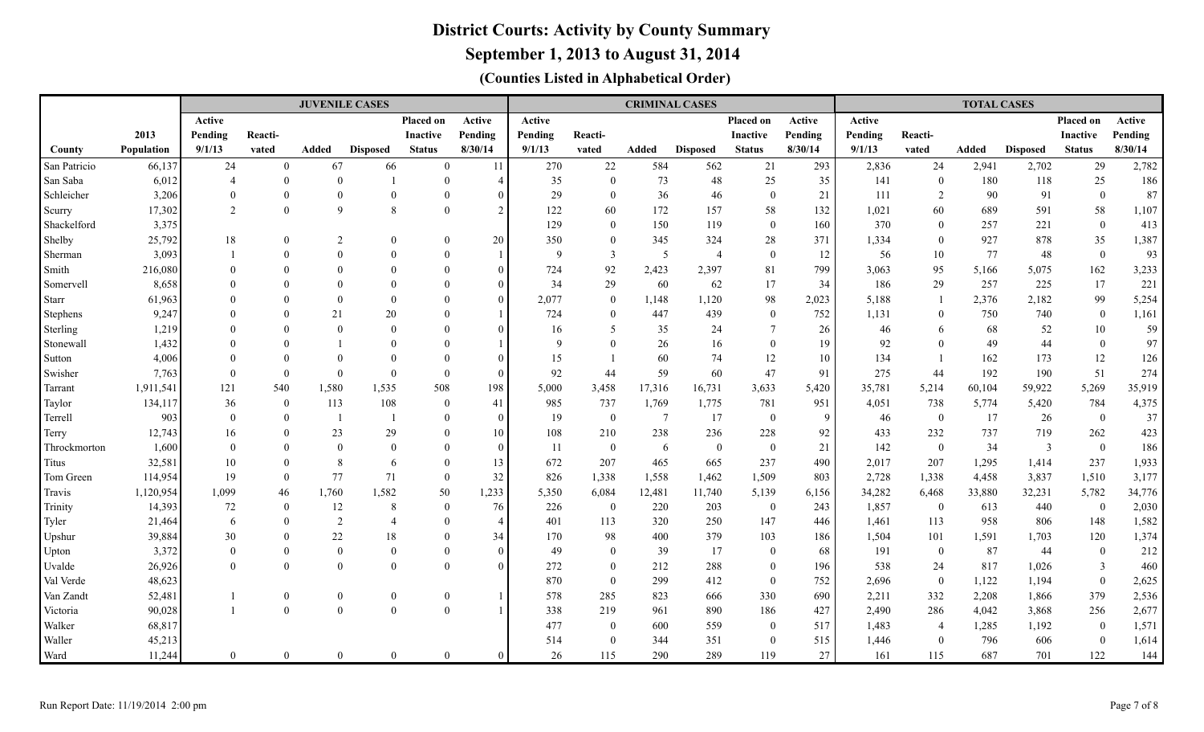**September 1, 2013 to August 31, 2014**

|                     |                  |                |                                | <b>JUVENILE CASES</b> |                 |                      |                |               |                                  |                 | <b>CRIMINAL CASES</b> |                                  | <b>TOTAL CASES</b> |            |                       |              |                 |                                    |                |
|---------------------|------------------|----------------|--------------------------------|-----------------------|-----------------|----------------------|----------------|---------------|----------------------------------|-----------------|-----------------------|----------------------------------|--------------------|------------|-----------------------|--------------|-----------------|------------------------------------|----------------|
|                     |                  | Active         |                                |                       |                 | Placed on            | Active         | <b>Active</b> |                                  |                 |                       | Placed on                        | Active             | Active     |                       |              |                 | Placed on                          | Active         |
|                     | 2013             | Pending        | Reacti-                        |                       |                 | <b>Inactive</b>      | Pending        | Pending       | Reacti-                          |                 |                       | <b>Inactive</b>                  | Pending            | Pending    | Reacti-               |              |                 | <b>Inactive</b>                    | Pending        |
| County              | Population       | 9/1/13         | vated                          | Added                 | <b>Disposed</b> | <b>Status</b>        | 8/30/14        | 9/1/13        | vated                            | Added           | <b>Disposed</b>       | <b>Status</b>                    | 8/30/14            | 9/1/13     | vated                 | <b>Added</b> | <b>Disposed</b> | <b>Status</b>                      | 8/30/14        |
| San Patricio        | 66,137           | 24             | $\overline{0}$                 | 67                    | 66              | $\overline{0}$       | 11             | 270           | $22\,$                           | 584             | 562                   | 21                               | 293                | 2,836      | 24                    | 2,941        | 2,702           | 29                                 | 2,782          |
| San Saba            | 6,012            | $\overline{4}$ | $\overline{0}$                 | $\Omega$              |                 | $\overline{0}$       | $\overline{4}$ | 35            | $\mathbf{0}$                     | 73              | 48                    | 25                               | 35                 | 141        | $\overline{0}$        | 180          | 118             | 25                                 | 186            |
| Schleicher          | 3,206            | $\Omega$       | $\overline{0}$                 | $\Omega$              | $\Omega$        | $\Omega$             | $\sqrt{ }$     | 29            | $\overline{0}$                   | 36              | 46                    | $\overline{0}$                   | 21                 | 111        | $\overline{2}$        | 90           | 91              | $\mathbf{0}$                       | 87             |
| Scurry              | 17,302           | 2              | $\theta$                       | $\mathbf{Q}$          | $\mathbf{8}$    | $\Omega$             | $\overline{2}$ | 122           | 60                               | 172             | 157                   | 58                               | 132                | 1,021      | 60                    | 689          | 591             | 58                                 | 1,107          |
| Shackelford         | 3,375            |                |                                |                       |                 |                      |                | 129           | $\theta$                         | 150             | 119                   | $\theta$                         | 160                | 370        | $\Omega$              | 257          | 221             | $\mathbf{0}$                       | 413            |
| Shelby              | 25,792           | 18             | $\theta$                       | $\overline{2}$        | $\Omega$        | $\Omega$             | 20             | 350           | $\bf{0}$                         | 345             | 324                   | 28                               | 371                | 1,334      | $\theta$              | 927          | 878             | 35                                 | 1,387          |
| Sherman             | 3,093            |                | $\Omega$                       | $\Omega$              |                 | $\Omega$             |                | 9             | $\overline{3}$                   | 5               | $\overline{4}$        | $\overline{0}$                   | $12 \,$            | 56         | 10                    | 77           | 48              | $\mathbf{0}$                       | 93             |
| Smith               | 216,080          |                | $\Omega$                       | $\Omega$              |                 | $\Omega$             | $\Omega$       | 724           | 92                               | 2,423           | 2,397                 | 81                               | 799                | 3,063      | 95                    | 5,166        | 5,075           | 162                                | 3,233          |
| Somervell           | 8,658            |                |                                | $\Omega$              |                 | $\Omega$             | $\Omega$       | 34            | 29                               | 60              | 62                    | 17                               | 34                 | 186        | 29                    | 257          | 225             | 17                                 | 221            |
| <b>Starr</b>        | 61,963           |                |                                | $\Omega$              | $\Omega$        |                      | $\Omega$       | 2,077         | $\mathbf{0}$                     | 1,148           | 1,120                 | 98                               | 2,023              | 5,188      |                       | 2,376        | 2,182           | 99                                 | 5,254          |
| Stephens            | 9,247            |                | $\Omega$                       | 21                    | 20              | $\Omega$             |                | 724           | $\theta$                         | 447             | 439                   | $\overline{0}$                   | 752                | 1,131      | $\Omega$              | 750          | 740             | $\mathbf{0}$                       | 1,161          |
| Sterling            | 1,219            |                | $\Omega$                       | $\Omega$              | $\Omega$        | $\Omega$             | $\sqrt{ }$     | 16            | 5                                | 35              | 24                    | $\overline{7}$                   | 26                 | 46         | 6                     | 68           | 52              | 10                                 | 59             |
| Stonewall           | 1,432            |                | $\Omega$                       |                       | $\Omega$        | $\Omega$             |                | 9             | $\Omega$                         | 26              | 16                    | $\theta$                         | 19                 | 92         | $\Omega$              | 49           | 44              | $\mathbf{0}$                       | 97             |
| Sutton              | 4,006            |                | $\theta$                       | $\Omega$              |                 | $\Omega$             |                | 15            |                                  | 60              | 74                    | 12                               | $10\,$             | 134        |                       | 162          | 173             | 12                                 | 126            |
| Swisher             | 7,763            | $\Omega$       | $\theta$                       | $\theta$              | $\Omega$        | $\Omega$             | $\sqrt{ }$     | 92            | 44                               | 59              | 60                    | 47                               | 91                 | 275        | 44                    | 192          | 190             | 51                                 | 274            |
| Tarrant             | 1,911,541        | 121            | 540                            | 1,580                 | 1,535           | 508                  | 198            | 5,000         | 3,458                            | 17,316          | 16,731                | 3,633                            | 5,420              | 35,781     | 5,214                 | 60,104       | 59,922          | 5,269                              | 35,919         |
| Taylor              | 134,117          | 36             | $\overline{0}$                 | 113                   | 108             | $\overline{0}$       | 41             | 985           | 737                              | 1,769           | 1,775                 | 781                              | 951                | 4,051      | 738                   | 5,774        | 5,420           | 784                                | 4,375          |
| Terrell             | 903              | $\theta$       | $\overline{0}$                 | $\overline{1}$        |                 | $\Omega$             | $\Omega$       | 19            | $\overline{0}$                   | $7\phantom{.0}$ | 17                    | $\overline{0}$                   | 9                  | 46         | $\overline{0}$        | 17           | 26              | $\mathbf{0}$                       | 37             |
| Terry               | 12,743           | 16             | $\theta$                       | 23                    | 29              | $\Omega$             | 10             | 108           | 210                              | 238             | 236                   | 228                              | 92                 | 433        | 232                   | 737          | 719             | 262                                | 423            |
| Throckmorton        | 1,600            | $\Omega$       | $\theta$                       | $\theta$              | $\Omega$        | $\Omega$             | $\Omega$       | 11            | $\boldsymbol{0}$                 | 6               | $\overline{0}$        | $\theta$                         | 21                 | 142        | $\theta$              | 34           | 3               | $\boldsymbol{0}$                   | 186            |
| Titus               | 32,581           | 10             | $\overline{0}$                 | 8                     | 6               | $\Omega$             | 13             | 672           | 207                              | 465             | 665                   | 237                              | 490                | 2,017      | 207                   | 1,295        | 1,414           | 237                                | 1,933          |
| Tom Green           | 114,954          | 19             | $\overline{0}$                 | 77                    | 71              | $\overline{0}$       | 32             | 826           | 1,338                            | 1,558           | 1,462                 | 1,509                            | 803                | 2,728      | 1,338                 | 4,458        | 3,837           | 1,510                              | 3,177          |
| Travis              | 1,120,954        | 1,099          | 46                             | 1,760                 | 1,582           | 50                   | 1,233          | 5,350         | 6,084                            | 12,481          | 11,740                | 5,139                            | 6,156              | 34,282     | 6,468                 | 33,880       | 32,231          | 5,782                              | 34,776         |
| Trinity             | 14,393           | 72             | $\overline{0}$                 | 12                    | 8               | $\overline{0}$       | 76             | 226           | $\bf{0}$                         | 220             | 203                   | $\mathbf{0}$                     | 243                | 1,857      | $\overline{0}$        | 613          | 440             | $\overline{0}$                     | 2,030          |
| Tyler               | 21,464           | 6              | $\overline{0}$                 | $\overline{2}$        | $\overline{4}$  | $\theta$             | $\overline{4}$ | 401           | 113                              | 320             | 250                   | 147                              | 446                | 1,461      | 113                   | 958          | 806             | 148                                | 1,582          |
| Upshur              | 39,884           | 30<br>$\Omega$ | $\Omega$                       | 22<br>$\Omega$        | 18<br>$\Omega$  | $\Omega$<br>$\Omega$ | 34<br>$\Omega$ | 170           | 98                               | 400             | 379                   | 103                              | 186                | 1,504      | 101                   | 1,591        | 1,703           | 120                                | 1,374          |
| Upton               | 3,372            | $\Omega$       | $\Omega$<br>$\overline{0}$     | $\Omega$              | $\Omega$        | $\Omega$             | $\Omega$       | 49<br>272     | $\overline{0}$                   | 39              | 17<br>288             | $\overline{0}$                   | 68                 | 191<br>538 | $\mathbf{0}$          | 87           | 44              | $\boldsymbol{0}$                   | 212<br>460     |
| Uvalde<br>Val Verde | 26,926<br>48,623 |                |                                |                       |                 |                      |                | 870           | $\boldsymbol{0}$<br>$\mathbf{0}$ | 212<br>299      | 412                   | $\overline{0}$<br>$\overline{0}$ | 196<br>752         | 2,696      | 24                    | 817<br>1,122 | 1,026<br>1,194  | $\overline{3}$<br>$\boldsymbol{0}$ |                |
| Van Zandt           |                  |                |                                | $\theta$              | $\overline{0}$  | $\overline{0}$       |                | 578           | 285                              | 823             | 666                   | 330                              | 690                | 2,211      | $\overline{0}$<br>332 | 2,208        |                 | 379                                | 2,625<br>2,536 |
| Victoria            | 52,481           |                | $\mathbf{0}$<br>$\overline{0}$ | $\Omega$              | $\Omega$        | $\Omega$             |                | 338           | 219                              | 961             | 890                   | 186                              | 427                | 2,490      | 286                   | 4,042        | 1,866<br>3,868  | 256                                | 2,677          |
| Walker              | 90,028<br>68,817 |                |                                |                       |                 |                      |                | 477           | $\overline{0}$                   | 600             | 559                   | $\overline{0}$                   | 517                | 1,483      | $\overline{4}$        | 1,285        | 1,192           | $\overline{0}$                     | 1,571          |
| Waller              | 45,213           |                |                                |                       |                 |                      |                | 514           | $\overline{0}$                   | 344             | 351                   | $\theta$                         | 515                | 1,446      | $\theta$              | 796          | 606             | $\overline{0}$                     | 1,614          |
| Ward                | 11,244           | $\overline{0}$ | $\overline{0}$                 | $\Omega$              | $\Omega$        | $\theta$             |                | 26            | 115                              | 290             | 289                   | 119                              | 27                 | 161        | 115                   | 687          | 701             | 122                                | 144            |
|                     |                  |                |                                |                       |                 |                      |                |               |                                  |                 |                       |                                  |                    |            |                       |              |                 |                                    |                |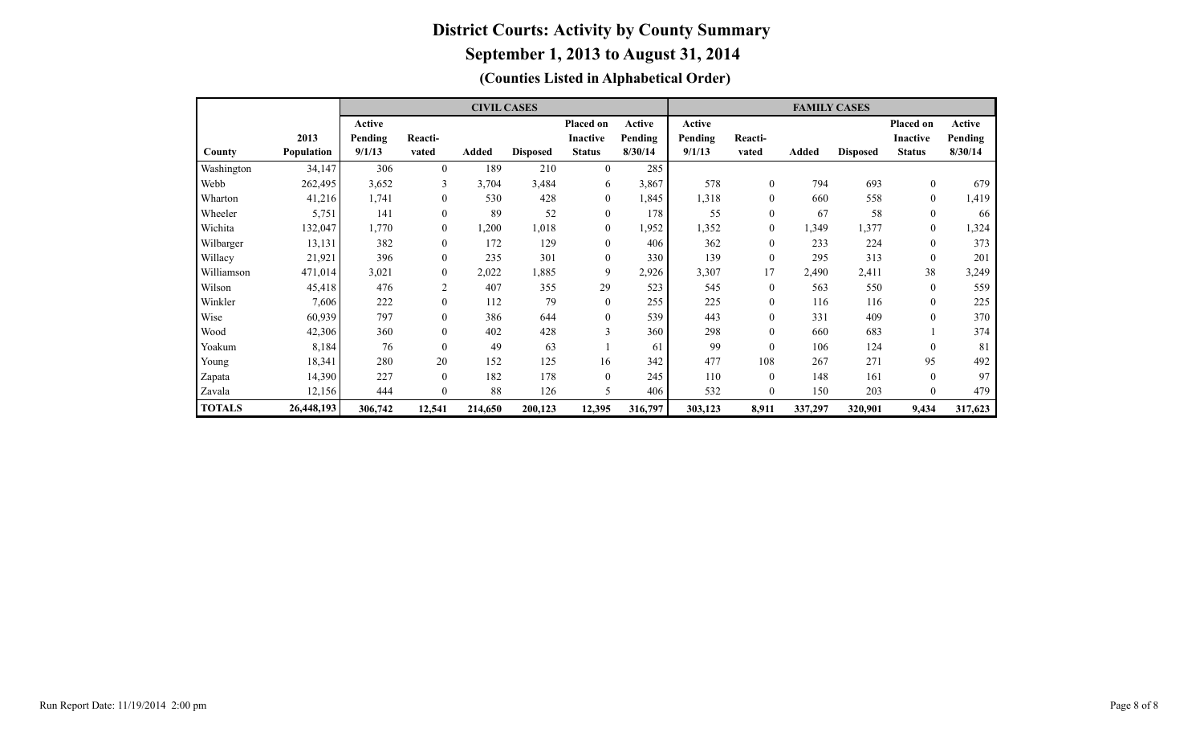|               |            |         |              | <b>CIVIL CASES</b> |                 |                  |         | <b>FAMILY CASES</b> |              |         |                 |                  |         |  |  |  |  |
|---------------|------------|---------|--------------|--------------------|-----------------|------------------|---------|---------------------|--------------|---------|-----------------|------------------|---------|--|--|--|--|
|               |            | Active  |              |                    |                 | Placed on        | Active  | Active              |              |         |                 | Placed on        | Active  |  |  |  |  |
|               | 2013       | Pending | Reacti-      |                    |                 | <b>Inactive</b>  | Pending | Pending             | Reacti-      |         |                 | <b>Inactive</b>  | Pending |  |  |  |  |
| County        | Population | 9/1/13  | vated        | Added              | <b>Disposed</b> | <b>Status</b>    | 8/30/14 | 9/1/13              | vated        | Added   | <b>Disposed</b> | <b>Status</b>    | 8/30/14 |  |  |  |  |
| Washington    | 34,147     | 306     | $\theta$     | 189                | 210             | $\mathbf{0}$     | 285     |                     |              |         |                 |                  |         |  |  |  |  |
| Webb          | 262,495    | 3,652   | 3            | 3,704              | 3,484           | 6                | 3,867   | 578                 | $\mathbf{0}$ | 794     | 693             | $\theta$         | 679     |  |  |  |  |
| Wharton       | 41,216     | 1,741   | $\mathbf{0}$ | 530                | 428             | 0                | 1,845   | 1,318               | $\mathbf{0}$ | 660     | 558             | $\mathbf{0}$     | 1,419   |  |  |  |  |
| Wheeler       | 5,751      | 141     | $\theta$     | 89                 | 52              | $\boldsymbol{0}$ | 178     | 55                  | $\theta$     | 67      | 58              | $\theta$         | 66      |  |  |  |  |
| Wichita       | 132,047    | 1,770   | $\mathbf{0}$ | ,200               | 1,018           | $\boldsymbol{0}$ | 1,952   | 1,352               | $\mathbf{0}$ | 1,349   | 1,377           | $\boldsymbol{0}$ | 1,324   |  |  |  |  |
| Wilbarger     | 13,131     | 382     | $\mathbf{0}$ | 172                | 129             | $\mathbf{0}$     | 406     | 362                 | $\mathbf{0}$ | 233     | 224             | $\mathbf{0}$     | 373     |  |  |  |  |
| Willacy       | 21,921     | 396     | $\mathbf{0}$ | 235                | 301             | $\mathbf{0}$     | 330     | 139                 | $\theta$     | 295     | 313             | $\theta$         | 201     |  |  |  |  |
| Williamson    | 471,014    | 3,021   | $\mathbf{0}$ | 2,022              | 1,885           | 9                | 2,926   | 3,307               | 17           | 2,490   | 2,411           | 38               | 3,249   |  |  |  |  |
| Wilson        | 45,418     | 476     | 2            | 407                | 355             | 29               | 523     | 545                 | $\mathbf{0}$ | 563     | 550             | $\theta$         | 559     |  |  |  |  |
| Winkler       | 7,606      | 222     | $\mathbf{0}$ | 112                | 79              | $\boldsymbol{0}$ | 255     | 225                 | $\mathbf{0}$ | 116     | 116             | $\theta$         | 225     |  |  |  |  |
| Wise          | 60,939     | 797     | $\theta$     | 386                | 644             | $\mathbf{0}$     | 539     | 443                 | $\theta$     | 331     | 409             | $\theta$         | 370     |  |  |  |  |
| Wood          | 42,306     | 360     | $\mathbf{0}$ | 402                | 428             | 3                | 360     | 298                 | $\theta$     | 660     | 683             |                  | 374     |  |  |  |  |
| Yoakum        | 8,184      | 76      | $\theta$     | 49                 | 63              |                  | 61      | 99                  | $\theta$     | 106     | 124             | $\theta$         | 81      |  |  |  |  |
| Young         | 18,341     | 280     | 20           | 152                | 125             | 16               | 342     | 477                 | 108          | 267     | 271             | 95               | 492     |  |  |  |  |
| Zapata        | 14,390     | 227     | $\theta$     | 182                | 178             | $\mathbf{0}$     | 245     | 110                 | $\theta$     | 148     | 161             | $\theta$         | 97      |  |  |  |  |
| Zavala        | 12,156     | 444     | $\theta$     | 88                 | 126             | 5                | 406     | 532                 | $\theta$     | 150     | 203             | $\theta$         | 479     |  |  |  |  |
| <b>TOTALS</b> | 26,448,193 | 306,742 | 12,541       | 214,650            | 200,123         | 12,395           | 316,797 | 303,123             | 8,911        | 337,297 | 320,901         | 9,434            | 317,623 |  |  |  |  |